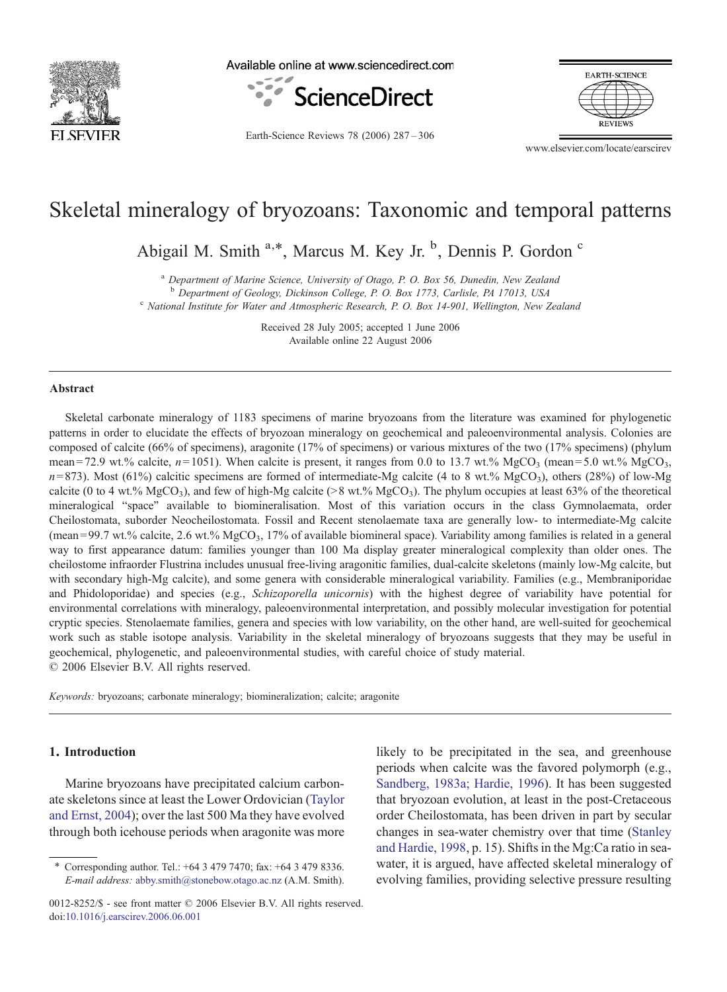

Available online at www.sciencedirect.com



Earth-Science Reviews 78 (2006) 287–306



www.elsevier.com/locate/earscirev

# Skeletal mineralogy of bryozoans: Taxonomic and temporal patterns

Abigail M. Smith <sup>a,\*</sup>, Marcus M. Key Jr.<sup>b</sup>, Dennis P. Gordon<sup>c</sup>

<sup>a</sup> Department of Marine Science, University of Otago, P. O. Box 56, Dunedin, New Zealand

<sup>b</sup> Department of Geology, Dickinson College, P. O. Box 1773, Carlisle, PA 17013, USA<br><sup>c</sup> National Institute for Water and Atmospheric Research, P. O. Box 14-901, Wellington, New Zealand

Received 28 July 2005; accepted 1 June 2006 Available online 22 August 2006

#### Abstract

Skeletal carbonate mineralogy of 1183 specimens of marine bryozoans from the literature was examined for phylogenetic patterns in order to elucidate the effects of bryozoan mineralogy on geochemical and paleoenvironmental analysis. Colonies are composed of calcite (66% of specimens), aragonite (17% of specimens) or various mixtures of the two (17% specimens) (phylum mean=72.9 wt.% calcite,  $n=1051$ ). When calcite is present, it ranges from 0.0 to 13.7 wt.% MgCO<sub>3</sub> (mean=5.0 wt.% MgCO<sub>3</sub>,  $n=873$ ). Most (61%) calcitic specimens are formed of intermediate-Mg calcite (4 to 8 wt.% MgCO<sub>3</sub>), others (28%) of low-Mg calcite (0 to 4 wt.%  $MgCO<sub>3</sub>$ ), and few of high-Mg calcite (>8 wt.%  $MgCO<sub>3</sub>$ ). The phylum occupies at least 63% of the theoretical mineralogical "space" available to biomineralisation. Most of this variation occurs in the class Gymnolaemata, order Cheilostomata, suborder Neocheilostomata. Fossil and Recent stenolaemate taxa are generally low- to intermediate-Mg calcite  $(mean = 99.7 wt\%$  calcite, 2.6 wt.%  $MgCO<sub>3</sub>$ , 17% of available biomineral space). Variability among families is related in a general way to first appearance datum: families younger than 100 Ma display greater mineralogical complexity than older ones. The cheilostome infraorder Flustrina includes unusual free-living aragonitic families, dual-calcite skeletons (mainly low-Mg calcite, but with secondary high-Mg calcite), and some genera with considerable mineralogical variability. Families (e.g., Membraniporidae and Phidoloporidae) and species (e.g., Schizoporella unicornis) with the highest degree of variability have potential for environmental correlations with mineralogy, paleoenvironmental interpretation, and possibly molecular investigation for potential cryptic species. Stenolaemate families, genera and species with low variability, on the other hand, are well-suited for geochemical work such as stable isotope analysis. Variability in the skeletal mineralogy of bryozoans suggests that they may be useful in geochemical, phylogenetic, and paleoenvironmental studies, with careful choice of study material. © 2006 Elsevier B.V. All rights reserved.

Keywords: bryozoans; carbonate mineralogy; biomineralization; calcite; aragonite

# 1. Introduction

Marine bryozoans have precipitated calcium carbonate skeletons since at least the Lower Ordovician [\(Taylor](#page-19-0) [and Ernst, 2004](#page-19-0)); over the last 500 Ma they have evolved through both icehouse periods when aragonite was more

likely to be precipitated in the sea, and greenhouse periods when calcite was the favored polymorph (e.g., [Sandberg, 1983a; Hardie, 1996\)](#page-18-0). It has been suggested that bryozoan evolution, at least in the post-Cretaceous order Cheilostomata, has been driven in part by secular changes in sea-water chemistry over that time [\(Stanley](#page-18-0) [and Hardie, 1998](#page-18-0), p. 15). Shifts in the Mg:Ca ratio in seawater, it is argued, have affected skeletal mineralogy of evolving families, providing selective pressure resulting

<sup>⁎</sup> Corresponding author. Tel.: +64 3 479 7470; fax: +64 3 479 8336. E-mail address: [abby.smith@stonebow.otago.ac.nz](mailto:abby.smith@stonebow.otago.ac.nz) (A.M. Smith).

<sup>0012-8252/\$ -</sup> see front matter © 2006 Elsevier B.V. All rights reserved. doi[:10.1016/j.earscirev.2006.06.001](http://dx.doi.org/10.1016/j.earscirev.2006.06.001)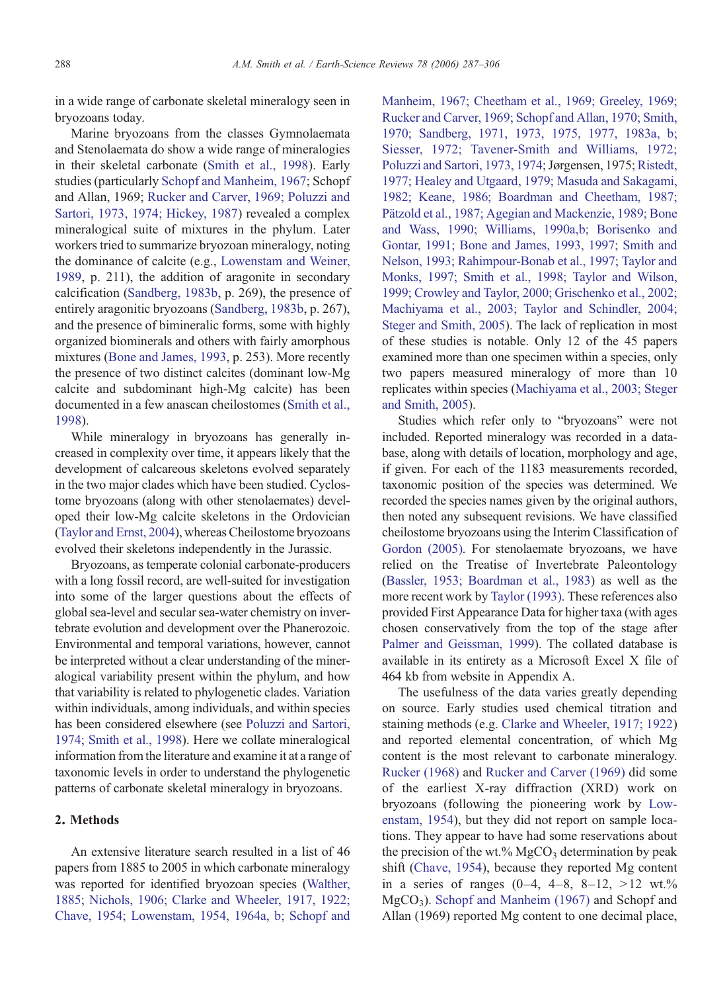in a wide range of carbonate skeletal mineralogy seen in bryozoans today.

Marine bryozoans from the classes Gymnolaemata and Stenolaemata do show a wide range of mineralogies in their skeletal carbonate ([Smith et al., 1998](#page-18-0)). Early studies (particularly [Schopf and Manheim, 1967;](#page-18-0) Schopf and Allan, 1969; [Rucker and Carver, 1969; Poluzzi and](#page-18-0) [Sartori, 1973, 1974; Hickey, 1987](#page-18-0)) revealed a complex mineralogical suite of mixtures in the phylum. Later workers tried to summarize bryozoan mineralogy, noting the dominance of calcite (e.g., [Lowenstam and Weiner,](#page-18-0) [1989](#page-18-0), p. 211), the addition of aragonite in secondary calcification ([Sandberg, 1983b](#page-18-0), p. 269), the presence of entirely aragonitic bryozoans ([Sandberg, 1983b,](#page-18-0) p. 267), and the presence of bimineralic forms, some with highly organized biominerals and others with fairly amorphous mixtures [\(Bone and James, 1993,](#page-17-0) p. 253). More recently the presence of two distinct calcites (dominant low-Mg calcite and subdominant high-Mg calcite) has been documented in a few anascan cheilostomes [\(Smith et al.,](#page-18-0) [1998](#page-18-0)).

While mineralogy in bryozoans has generally increased in complexity over time, it appears likely that the development of calcareous skeletons evolved separately in the two major clades which have been studied. Cyclostome bryozoans (along with other stenolaemates) developed their low-Mg calcite skeletons in the Ordovician [\(Taylor and Ernst, 2004\)](#page-19-0), whereas Cheilostome bryozoans evolved their skeletons independently in the Jurassic.

Bryozoans, as temperate colonial carbonate-producers with a long fossil record, are well-suited for investigation into some of the larger questions about the effects of global sea-level and secular sea-water chemistry on invertebrate evolution and development over the Phanerozoic. Environmental and temporal variations, however, cannot be interpreted without a clear understanding of the mineralogical variability present within the phylum, and how that variability is related to phylogenetic clades. Variation within individuals, among individuals, and within species has been considered elsewhere (see [Poluzzi and Sartori,](#page-18-0) [1974; Smith et al., 1998](#page-18-0)). Here we collate mineralogical information from the literature and examine it at a range of taxonomic levels in order to understand the phylogenetic patterns of carbonate skeletal mineralogy in bryozoans.

# 2. Methods

An extensive literature search resulted in a list of 46 papers from 1885 to 2005 in which carbonate mineralogy was reported for identified bryozoan species ([Walther,](#page-19-0) [1885; Nichols, 1906; Clarke and Wheeler, 1917, 1922;](#page-19-0) [Chave, 1954; Lowenstam, 1954, 1964a, b; Schopf and](#page-19-0) [Manheim, 1967; Cheetham et al., 1969; Greeley, 1969;](#page-19-0) [Rucker and Carver, 1969; Schopf and Allan, 1970; Smith,](#page-19-0) [1970; Sandberg, 1971, 1973, 1975, 1977, 1983a, b;](#page-19-0) [Siesser, 1972; Tavener-Smith and Williams, 1972;](#page-19-0) [Poluzzi and Sartori, 1973, 1974](#page-19-0); Jørgensen, 1975; [Ristedt,](#page-18-0) [1977; Healey and Utgaard, 1979; Masuda and Sakagami,](#page-18-0) [1982; Keane, 1986; Boardman and Cheetham, 1987;](#page-18-0) [Pätzold et al., 1987; Agegian and Mackenzie, 1989; Bone](#page-18-0) [and Wass, 1990; Williams, 1990a,b; Borisenko and](#page-18-0) [Gontar, 1991; Bone and James, 1993, 1997; Smith and](#page-18-0) [Nelson, 1993; Rahimpour-Bonab et al., 1997; Taylor and](#page-18-0) [Monks, 1997; Smith et al., 1998; Taylor and Wilson,](#page-18-0) [1999; Crowley and Taylor, 2000; Grischenko et al., 2002;](#page-18-0) [Machiyama et al., 2003; Taylor and Schindler, 2004;](#page-18-0) [Steger and Smith, 2005](#page-18-0)). The lack of replication in most of these studies is notable. Only 12 of the 45 papers examined more than one specimen within a species, only two papers measured mineralogy of more than 10 replicates within species [\(Machiyama et al., 2003; Steger](#page-18-0) [and Smith, 2005\)](#page-18-0).

Studies which refer only to "bryozoans" were not included. Reported mineralogy was recorded in a database, along with details of location, morphology and age, if given. For each of the 1183 measurements recorded, taxonomic position of the species was determined. We recorded the species names given by the original authors, then noted any subsequent revisions. We have classified cheilostome bryozoans using the Interim Classification of [Gordon \(2005\)](#page-17-0). For stenolaemate bryozoans, we have relied on the Treatise of Invertebrate Paleontology [\(Bassler, 1953; Boardman et al., 1983](#page-17-0)) as well as the more recent work by [Taylor \(1993\).](#page-18-0) These references also provided First Appearance Data for higher taxa (with ages chosen conservatively from the top of the stage after [Palmer and Geissman, 1999](#page-18-0)). The collated database is available in its entirety as a Microsoft Excel X file of 464 kb from website in Appendix A.

The usefulness of the data varies greatly depending on source. Early studies used chemical titration and staining methods (e.g. [Clarke and Wheeler, 1917; 1922](#page-17-0)) and reported elemental concentration, of which Mg content is the most relevant to carbonate mineralogy. [Rucker \(1968\)](#page-18-0) and [Rucker and Carver \(1969\)](#page-18-0) did some of the earliest X-ray diffraction (XRD) work on bryozoans (following the pioneering work by [Low](#page-17-0)[enstam, 1954\)](#page-17-0), but they did not report on sample locations. They appear to have had some reservations about the precision of the wt.%  $MgCO<sub>3</sub>$  determination by peak shift [\(Chave, 1954](#page-17-0)), because they reported Mg content in a series of ranges  $(0-4, 4-8, 8-12, >12 \text{ wt.}\%)$ MgCO<sub>3</sub>). [Schopf and Manheim \(1967\)](#page-18-0) and Schopf and Allan (1969) reported Mg content to one decimal place,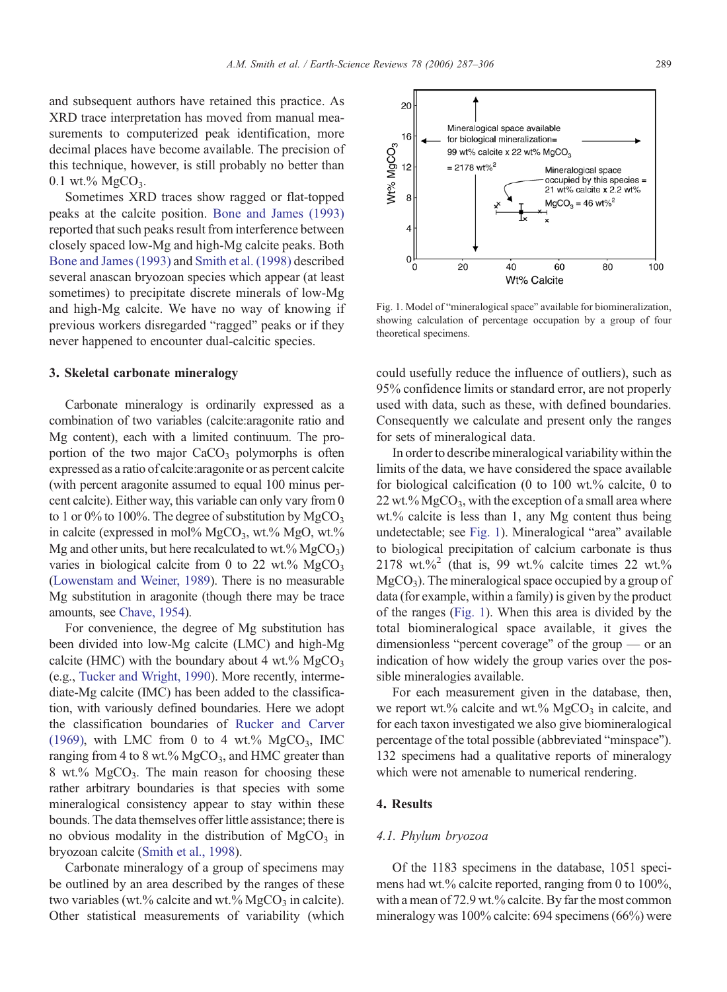and subsequent authors have retained this practice. As XRD trace interpretation has moved from manual measurements to computerized peak identification, more decimal places have become available. The precision of this technique, however, is still probably no better than  $0.1 \text{ wt.} \% \text{ MeCO}_3.$ 

Sometimes XRD traces show ragged or flat-topped peaks at the calcite position. [Bone and James \(1993\)](#page-17-0) reported that such peaks result from interference between closely spaced low-Mg and high-Mg calcite peaks. Both [Bone and James \(1993\)](#page-17-0) and [Smith et al. \(1998\)](#page-18-0) described several anascan bryozoan species which appear (at least sometimes) to precipitate discrete minerals of low-Mg and high-Mg calcite. We have no way of knowing if previous workers disregarded "ragged" peaks or if they never happened to encounter dual-calcitic species.

#### 3. Skeletal carbonate mineralogy

Carbonate mineralogy is ordinarily expressed as a combination of two variables (calcite:aragonite ratio and Mg content), each with a limited continuum. The proportion of the two major  $CaCO<sub>3</sub>$  polymorphs is often expressed as a ratio of calcite:aragonite or as percent calcite (with percent aragonite assumed to equal 100 minus percent calcite). Either way, this variable can only vary from 0 to 1 or 0% to 100%. The degree of substitution by  $MgCO<sub>3</sub>$ in calcite (expressed in mol% MgCO<sub>3</sub>, wt.% MgO, wt.% Mg and other units, but here recalculated to wt.%  $MgCO<sub>3</sub>$ ) varies in biological calcite from 0 to 22 wt.%  $MgCO<sub>3</sub>$ [\(Lowenstam and Weiner, 1989](#page-18-0)). There is no measurable Mg substitution in aragonite (though there may be trace amounts, see [Chave, 1954](#page-17-0)).

For convenience, the degree of Mg substitution has been divided into low-Mg calcite (LMC) and high-Mg calcite (HMC) with the boundary about 4 wt.%  $MgCO<sub>3</sub>$ (e.g., [Tucker and Wright, 1990\)](#page-19-0). More recently, intermediate-Mg calcite (IMC) has been added to the classification, with variously defined boundaries. Here we adopt the classification boundaries of [Rucker and Carver](#page-18-0) [\(1969\),](#page-18-0) with LMC from 0 to 4 wt.%  $MgCO<sub>3</sub>$ , IMC ranging from 4 to 8 wt.%  $MgCO<sub>3</sub>$ , and HMC greater than 8 wt.%  $MgCO<sub>3</sub>$ . The main reason for choosing these rather arbitrary boundaries is that species with some mineralogical consistency appear to stay within these bounds. The data themselves offer little assistance; there is no obvious modality in the distribution of  $MgCO<sub>3</sub>$  in bryozoan calcite ([Smith et al., 1998\)](#page-18-0).

Carbonate mineralogy of a group of specimens may be outlined by an area described by the ranges of these two variables (wt.% calcite and wt.%  $MgCO<sub>3</sub>$  in calcite). Other statistical measurements of variability (which

Fig. 1. Model of "mineralogical space" available for biomineralization, showing calculation of percentage occupation by a group of four theoretical specimens.

could usefully reduce the influence of outliers), such as 95% confidence limits or standard error, are not properly used with data, such as these, with defined boundaries. Consequently we calculate and present only the ranges for sets of mineralogical data.

In order to describe mineralogical variability within the limits of the data, we have considered the space available for biological calcification (0 to 100 wt.% calcite, 0 to 22 wt.%  $MgCO<sub>3</sub>$ , with the exception of a small area where wt.% calcite is less than 1, any Mg content thus being undetectable; see Fig. 1). Mineralogical "area" available to biological precipitation of calcium carbonate is thus 2178 wt. $\frac{6}{2}$  (that is, 99 wt.% calcite times 22 wt.%)  $MgCO<sub>3</sub>$ ). The mineralogical space occupied by a group of data (for example, within a family) is given by the product of the ranges (Fig. 1). When this area is divided by the total biomineralogical space available, it gives the dimensionless "percent coverage" of the group — or an indication of how widely the group varies over the possible mineralogies available.

For each measurement given in the database, then, we report wt.% calcite and wt.%  $MgCO<sub>3</sub>$  in calcite, and for each taxon investigated we also give biomineralogical percentage of the total possible (abbreviated "minspace"). 132 specimens had a qualitative reports of mineralogy which were not amenable to numerical rendering.

# 4. Results

# 4.1. Phylum bryozoa

Of the 1183 specimens in the database, 1051 specimens had wt.% calcite reported, ranging from 0 to 100%, with a mean of 72.9 wt.% calcite. By far the most common mineralogy was 100% calcite: 694 specimens (66%) were

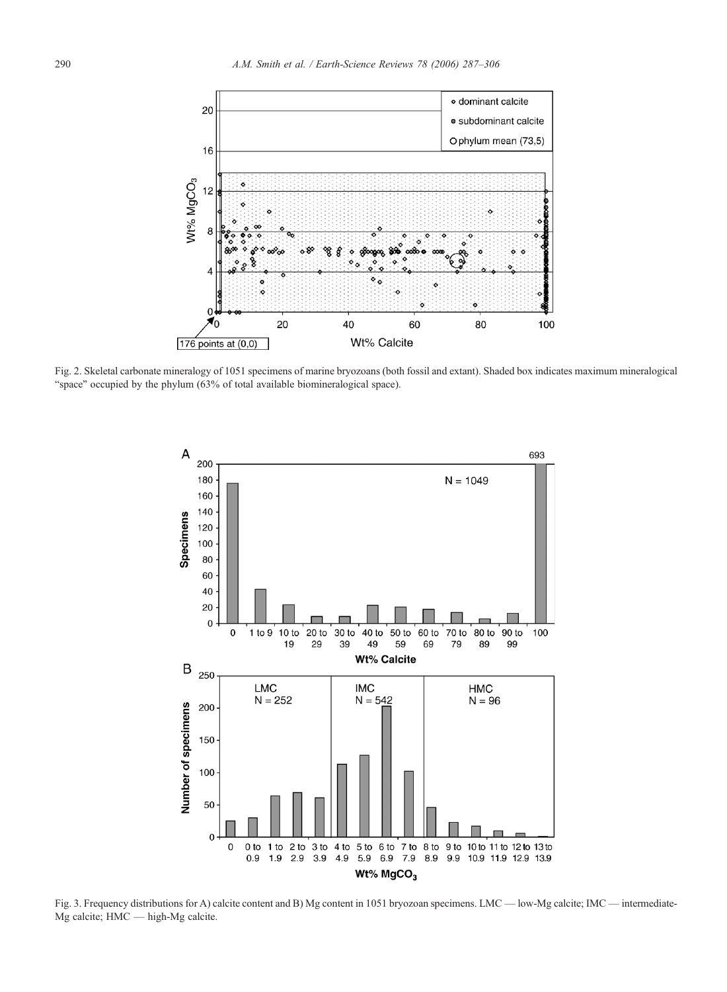<span id="page-3-0"></span>

Fig. 2. Skeletal carbonate mineralogy of 1051 specimens of marine bryozoans (both fossil and extant). Shaded box indicates maximum mineralogical "space" occupied by the phylum (63% of total available biomineralogical space).



Fig. 3. Frequency distributions for A) calcite content and B) Mg content in 1051 bryozoan specimens. LMC — low-Mg calcite; IMC — intermediate-Mg calcite; HMC — high-Mg calcite.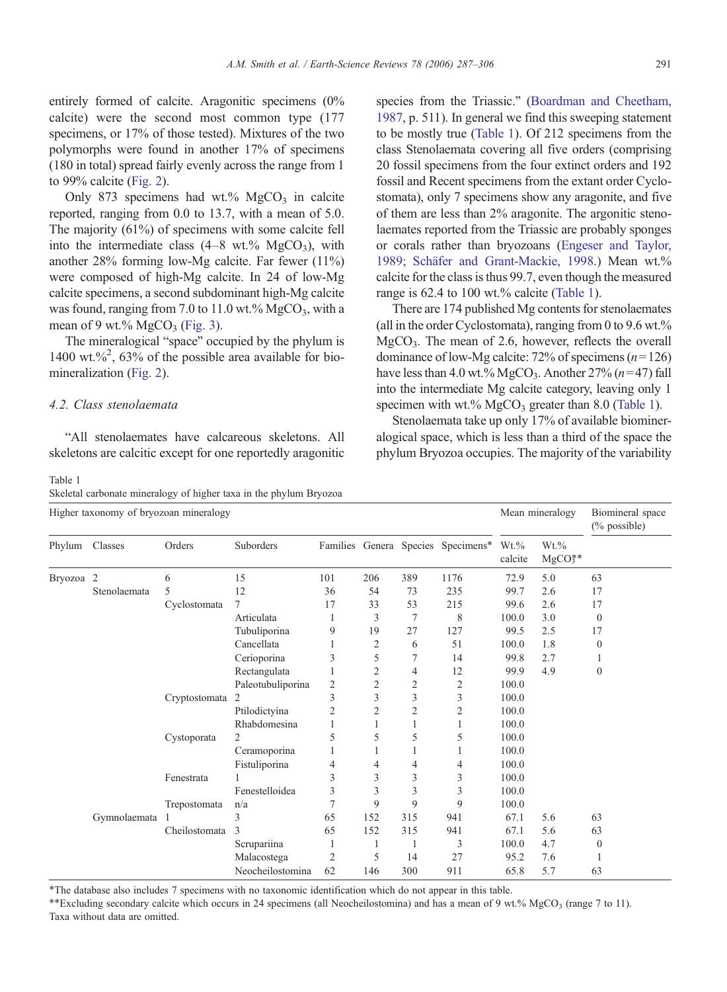<span id="page-4-0"></span>entirely formed of calcite. Aragonitic specimens (0% calcite) were the second most common type (177 specimens, or 17% of those tested). Mixtures of the two polymorphs were found in another 17% of specimens (180 in total) spread fairly evenly across the range from 1 to 99% calcite [\(Fig. 2](#page-3-0)).

Only 873 specimens had wt.%  $MgCO<sub>3</sub>$  in calcite reported, ranging from 0.0 to 13.7, with a mean of 5.0. The majority (61%) of specimens with some calcite fell into the intermediate class  $(4-8 \text{ wt.}\% \text{ MgCO}_3)$ , with another 28% forming low-Mg calcite. Far fewer (11%) were composed of high-Mg calcite. In 24 of low-Mg calcite specimens, a second subdominant high-Mg calcite was found, ranging from 7.0 to 11.0 wt.%  $MgCO<sub>3</sub>$ , with a mean of 9 wt.%  $MgCO<sub>3</sub>$  ([Fig. 3\)](#page-3-0).

The mineralogical "space" occupied by the phylum is 1400 wt.%<sup>2</sup>, 63% of the possible area available for biomineralization [\(Fig. 2](#page-3-0)).

# 4.2. Class stenolaemata

"All stenolaemates have calcareous skeletons. All skeletons are calcitic except for one reportedly aragonitic

species from the Triassic." ([Boardman and Cheetham,](#page-17-0) [1987,](#page-17-0) p. 511). In general we find this sweeping statement to be mostly true (Table 1). Of 212 specimens from the class Stenolaemata covering all five orders (comprising 20 fossil specimens from the four extinct orders and 192 fossil and Recent specimens from the extant order Cyclostomata), only 7 specimens show any aragonite, and five of them are less than 2% aragonite. The argonitic stenolaemates reported from the Triassic are probably sponges or corals rather than bryozoans [\(Engeser and Taylor,](#page-17-0) [1989; Schäfer and Grant-Mackie, 1998.](#page-17-0)) Mean wt.% calcite for the class is thus 99.7, even though the measured range is 62.4 to 100 wt.% calcite (Table 1).

There are 174 published Mg contents for stenolaemates (all in the order Cyclostomata), ranging from 0 to 9.6 wt.%  $MgCO<sub>3</sub>$ . The mean of 2.6, however, reflects the overall dominance of low-Mg calcite:  $72\%$  of specimens ( $n=126$ ) have less than 4.0 wt.%  $MgCO<sub>3</sub>$ . Another 27% ( $n=47$ ) fall into the intermediate Mg calcite category, leaving only 1 specimen with wt.%  $MgCO<sub>3</sub>$  greater than 8.0 (Table 1).

Stenolaemata take up only 17% of available biomineralogical space, which is less than a third of the space the phylum Bryozoa occupies. The majority of the variability

Table 1 Skeletal carbonate mineralogy of higher taxa in the phylum Bryozoa

|         |              |               |                   |                |                |                         |                                    |                    |                      | $(\%$ possible) |
|---------|--------------|---------------|-------------------|----------------|----------------|-------------------------|------------------------------------|--------------------|----------------------|-----------------|
| Phylum  | Classes      | Orders        | Suborders         |                |                |                         | Families Genera Species Specimens* | $Wt.\%$<br>calcite | $Wt.\%$<br>$MgCO3**$ |                 |
| Bryozoa | 2            | 6             | 15                | 101            | 206            | 389                     | 1176                               | 72.9               | 5.0                  | 63              |
|         | Stenolaemata | 5             | 12                | 36             | 54             | 73                      | 235                                | 99.7               | 2.6                  | 17              |
|         |              | Cyclostomata  | 7                 | 17             | 33             | 53                      | 215                                | 99.6               | 2.6                  | 17              |
|         |              |               | Articulata        | 1              | 3              | 7                       | 8                                  | 100.0              | 3.0                  | $\mathbf{0}$    |
|         |              |               | Tubuliporina      | 9              | 19             | 27                      | 127                                | 99.5               | 2.5                  | 17              |
|         |              |               | Cancellata        |                | $\mathfrak{2}$ | 6                       | 51                                 | 100.0              | 1.8                  | $\mathbf{0}$    |
|         |              |               | Cerioporina       | 3              | 5              | 7                       | 14                                 | 99.8               | 2.7                  |                 |
|         |              |               | Rectangulata      | 1              | $\overline{2}$ | 4                       | 12                                 | 99.9               | 4.9                  | $\mathbf{0}$    |
|         |              |               | Paleotubuliporina | $\mathfrak{2}$ | $\overline{c}$ | $\overline{\mathbf{c}}$ | $\overline{\mathbf{c}}$            | 100.0              |                      |                 |
|         |              | Cryptostomata | 2                 | 3              | 3              | 3                       | 3                                  | 100.0              |                      |                 |
|         |              |               | Ptilodictyina     | $\overline{c}$ | $\overline{2}$ | $\overline{c}$          | 2                                  | 100.0              |                      |                 |
|         |              |               | Rhabdomesina      | 1              |                | 1                       |                                    | 100.0              |                      |                 |
|         |              | Cystoporata   | $\overline{2}$    | 5              | 5              | 5                       | 5                                  | 100.0              |                      |                 |
|         |              |               | Ceramoporina      |                |                | 1                       |                                    | 100.0              |                      |                 |
|         |              |               | Fistuliporina     | 4              | 4              | 4                       | 4                                  | 100.0              |                      |                 |
|         |              | Fenestrata    |                   | 3              | 3              | 3                       | 3                                  | 100.0              |                      |                 |
|         |              |               | Fenestelloidea    | 3              | 3              | 3                       | 3                                  | 100.0              |                      |                 |
|         |              | Trepostomata  | n/a               | 7              | 9              | 9                       | 9                                  | 100.0              |                      |                 |
|         | Gymnolaemata |               | 3                 | 65             | 152            | 315                     | 941                                | 67.1               | 5.6                  | 63              |
|         |              | Cheilostomata | 3                 | 65             | 152            | 315                     | 941                                | 67.1               | 5.6                  | 63              |
|         |              |               | Scrupariina       | 1              | 1              | 1                       | 3                                  | 100.0              | 4.7                  | $\mathbf{0}$    |
|         |              |               | Malacostega       | $\mathfrak{2}$ | 5              | 14                      | 27                                 | 95.2               | 7.6                  |                 |
|         |              |               | Neocheilostomina  | 62             | 146            | 300                     | 911                                | 65.8               | 5.7                  | 63              |

Higher taxonomy of bryozoan mineralogy Mean mineralogy Biomineral space

⁎The database also includes 7 specimens with no taxonomic identification which do not appear in this table.

\*\*Excluding secondary calcite which occurs in 24 specimens (all Neocheilostomina) and has a mean of 9 wt.% MgCO<sub>3</sub> (range 7 to 11). Taxa without data are omitted.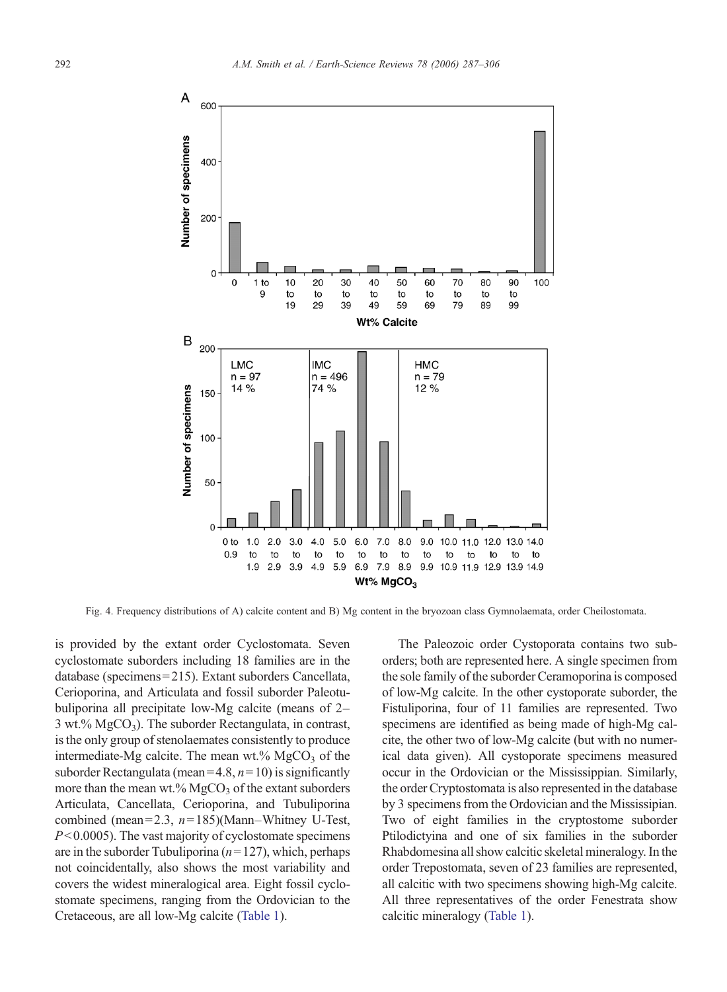<span id="page-5-0"></span>

Fig. 4. Frequency distributions of A) calcite content and B) Mg content in the bryozoan class Gymnolaemata, order Cheilostomata.

is provided by the extant order Cyclostomata. Seven cyclostomate suborders including 18 families are in the database (specimens= 215). Extant suborders Cancellata, Cerioporina, and Articulata and fossil suborder Paleotubuliporina all precipitate low-Mg calcite (means of 2–  $3$  wt.%  $MgCO<sub>3</sub>$ ). The suborder Rectangulata, in contrast, is the only group of stenolaemates consistently to produce intermediate-Mg calcite. The mean  $wt$ % MgCO<sub>3</sub> of the suborder Rectangulata (mean = 4.8,  $n=10$ ) is significantly more than the mean wt.%  $MgCO<sub>3</sub>$  of the extant suborders Articulata, Cancellata, Cerioporina, and Tubuliporina combined (mean= $2.3$ ,  $n=185$ )(Mann–Whitney U-Test,  $P < 0.0005$ ). The vast majority of cyclostomate specimens are in the suborder Tubuliporina ( $n=127$ ), which, perhaps not coincidentally, also shows the most variability and covers the widest mineralogical area. Eight fossil cyclostomate specimens, ranging from the Ordovician to the Cretaceous, are all low-Mg calcite ([Table 1\)](#page-4-0).

The Paleozoic order Cystoporata contains two suborders; both are represented here. A single specimen from the sole family of the suborder Ceramoporina is composed of low-Mg calcite. In the other cystoporate suborder, the Fistuliporina, four of 11 families are represented. Two specimens are identified as being made of high-Mg calcite, the other two of low-Mg calcite (but with no numerical data given). All cystoporate specimens measured occur in the Ordovician or the Mississippian. Similarly, the order Cryptostomata is also represented in the database by 3 specimens from the Ordovician and the Mississipian. Two of eight families in the cryptostome suborder Ptilodictyina and one of six families in the suborder Rhabdomesina all show calcitic skeletal mineralogy. In the order Trepostomata, seven of 23 families are represented, all calcitic with two specimens showing high-Mg calcite. All three representatives of the order Fenestrata show calcitic mineralogy ([Table 1\)](#page-4-0).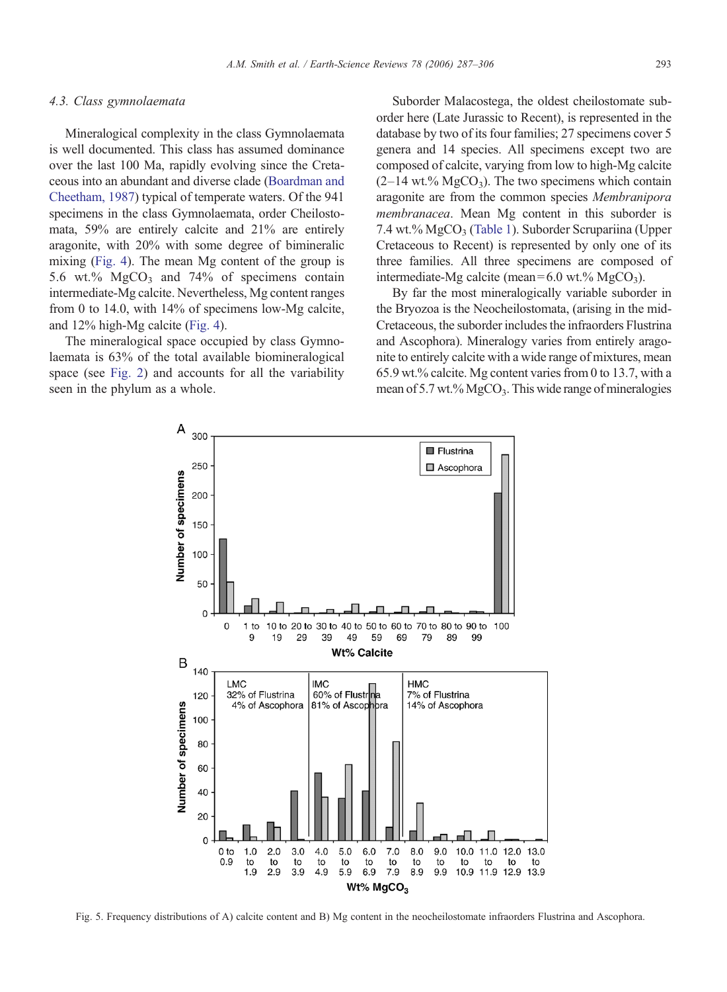### <span id="page-6-0"></span>4.3. Class gymnolaemata

Mineralogical complexity in the class Gymnolaemata is well documented. This class has assumed dominance over the last 100 Ma, rapidly evolving since the Cretaceous into an abundant and diverse clade [\(Boardman and](#page-17-0) [Cheetham, 1987\)](#page-17-0) typical of temperate waters. Of the 941 specimens in the class Gymnolaemata, order Cheilostomata, 59% are entirely calcite and 21% are entirely aragonite, with 20% with some degree of bimineralic mixing [\(Fig. 4](#page-5-0)). The mean Mg content of the group is 5.6 wt.%  $MgCO<sub>3</sub>$  and 74% of specimens contain intermediate-Mg calcite. Nevertheless, Mg content ranges from 0 to 14.0, with 14% of specimens low-Mg calcite, and 12% high-Mg calcite ([Fig. 4\)](#page-5-0).

The mineralogical space occupied by class Gymnolaemata is 63% of the total available biomineralogical space (see [Fig. 2\)](#page-3-0) and accounts for all the variability seen in the phylum as a whole.

Suborder Malacostega, the oldest cheilostomate suborder here (Late Jurassic to Recent), is represented in the database by two of its four families; 27 specimens cover 5 genera and 14 species. All specimens except two are composed of calcite, varying from low to high-Mg calcite  $(2-14 \text{ wt.}\% \text{ MeCO}_3)$ . The two specimens which contain aragonite are from the common species Membranipora membranacea. Mean Mg content in this suborder is 7.4 wt.% MgCO<sub>3</sub> [\(Table 1](#page-4-0)). Suborder Scrupariina (Upper Cretaceous to Recent) is represented by only one of its three families. All three specimens are composed of intermediate-Mg calcite (mean= $6.0$  wt.% MgCO<sub>3</sub>).

By far the most mineralogically variable suborder in the Bryozoa is the Neocheilostomata, (arising in the mid-Cretaceous, the suborder includes the infraorders Flustrina and Ascophora). Mineralogy varies from entirely aragonite to entirely calcite with a wide range of mixtures, mean 65.9 wt.% calcite. Mg content varies from 0 to 13.7, with a mean of 5.7 wt.%  $MgCO<sub>3</sub>$ . This wide range of mineralogies



Fig. 5. Frequency distributions of A) calcite content and B) Mg content in the neocheilostomate infraorders Flustrina and Ascophora.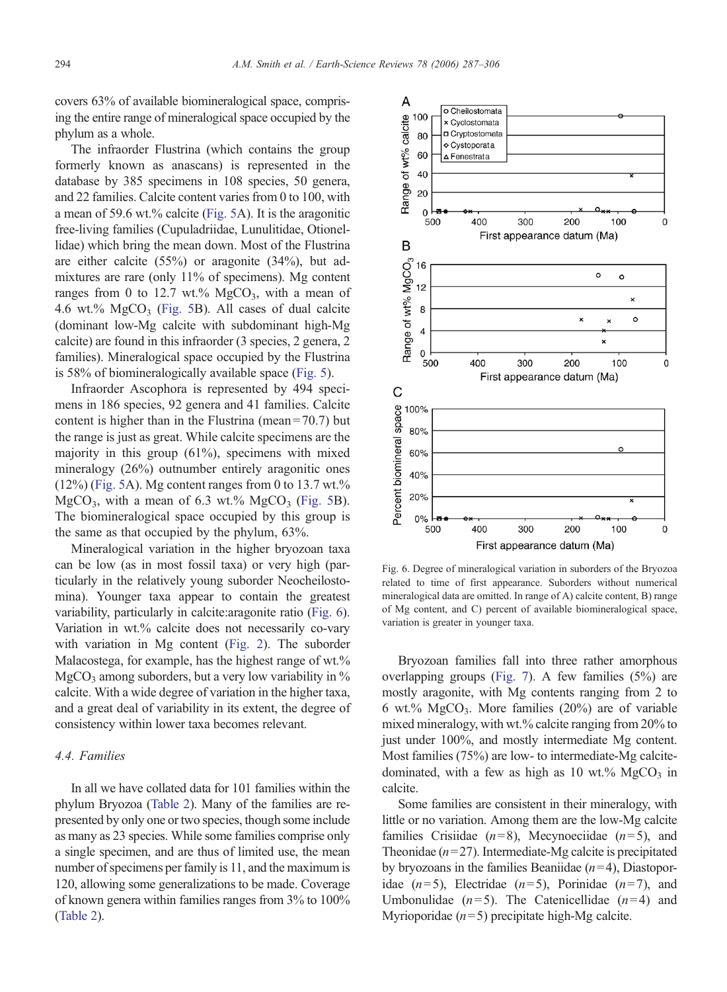covers 63% of available biomineralogical space, comprising the entire range of mineralogical space occupied by the phylum as a whole.

The infraorder Flustrina (which contains the group formerly known as anascans) is represented in the database by 385 specimens in 108 species, 50 genera, and 22 families. Calcite content varies from 0 to 100, with a mean of 59.6 wt.% calcite ([Fig. 5](#page-6-0)A). It is the aragonitic free-living families (Cupuladriidae, Lunulitidae, Otionellidae) which bring the mean down. Most of the Flustrina are either calcite (55%) or aragonite (34%), but admixtures are rare (only 11% of specimens). Mg content ranges from 0 to 12.7 wt.%  $MgCO<sub>3</sub>$ , with a mean of 4.6 wt.%  $MgCO<sub>3</sub>$  [\(Fig. 5B](#page-6-0)). All cases of dual calcite (dominant low-Mg calcite with subdominant high-Mg calcite) are found in this infraorder (3 species, 2 genera, 2 families). Mineralogical space occupied by the Flustrina is 58% of biomineralogically available space [\(Fig. 5\)](#page-6-0).

Infraorder Ascophora is represented by 494 specimens in 186 species, 92 genera and 41 families. Calcite content is higher than in the Flustrina (mean  $= 70.7$ ) but the range is just as great. While calcite specimens are the majority in this group  $(61\%)$ , specimens with mixed mineralogy (26%) outnumber entirely aragonitic ones  $(12\%)$  [\(Fig. 5A](#page-6-0)). Mg content ranges from 0 to 13.7 wt.%  $MgCO<sub>3</sub>$ , with a mean of 6.3 wt.%  $MgCO<sub>3</sub>$  [\(Fig. 5B](#page-6-0)). The biomineralogical space occupied by this group is the same as that occupied by the phylum, 63%.

Mineralogical variation in the higher bryozoan taxa can be low (as in most fossil taxa) or very high (particularly in the relatively young suborder Neocheilostomina). Younger taxa appear to contain the greatest variability, particularly in calcite:aragonite ratio (Fig. 6). Variation in wt.% calcite does not necessarily co-vary with variation in Mg content ([Fig. 2](#page-3-0)). The suborder Malacostega, for example, has the highest range of wt.%  $MgCO<sub>3</sub>$  among suborders, but a very low variability in % calcite. With a wide degree of variation in the higher taxa, and a great deal of variability in its extent, the degree of consistency within lower taxa becomes relevant.

# 4.4. Families

In all we have collated data for 101 families within the phylum Bryozoa [\(Table 2](#page-8-0)). Many of the families are represented by only one or two species, though some include as many as 23 species. While some families comprise only a single specimen, and are thus of limited use, the mean number of specimens per family is 11, and the maximum is 120, allowing some generalizations to be made. Coverage of known genera within families ranges from 3% to 100% [\(Table 2\)](#page-8-0).



Fig. 6. Degree of mineralogical variation in suborders of the Bryozoa related to time of first appearance. Suborders without numerical mineralogical data are omitted. In range of A) calcite content, B) range of Mg content, and C) percent of available biomineralogical space, variation is greater in younger taxa.

Bryozoan families fall into three rather amorphous overlapping groups [\(Fig. 7\)](#page-11-0). A few families (5%) are mostly aragonite, with Mg contents ranging from 2 to 6 wt.%  $MgCO<sub>3</sub>$ . More families (20%) are of variable mixed mineralogy, with wt.% calcite ranging from 20% to just under 100%, and mostly intermediate Mg content. Most families (75%) are low- to intermediate-Mg calcitedominated, with a few as high as 10 wt.%  $MgCO<sub>3</sub>$  in calcite.

Some families are consistent in their mineralogy, with little or no variation. Among them are the low-Mg calcite families Crisiidae  $(n=8)$ , Mecynoeciidae  $(n=5)$ , and Theonidae ( $n=27$ ). Intermediate-Mg calcite is precipitated by bryozoans in the families Beaniidae  $(n=4)$ , Diastoporidae  $(n=5)$ , Electridae  $(n=5)$ , Porinidae  $(n=7)$ , and Umbonulidae  $(n=5)$ . The Catenicellidae  $(n=4)$  and Myrioporidae  $(n=5)$  precipitate high-Mg calcite.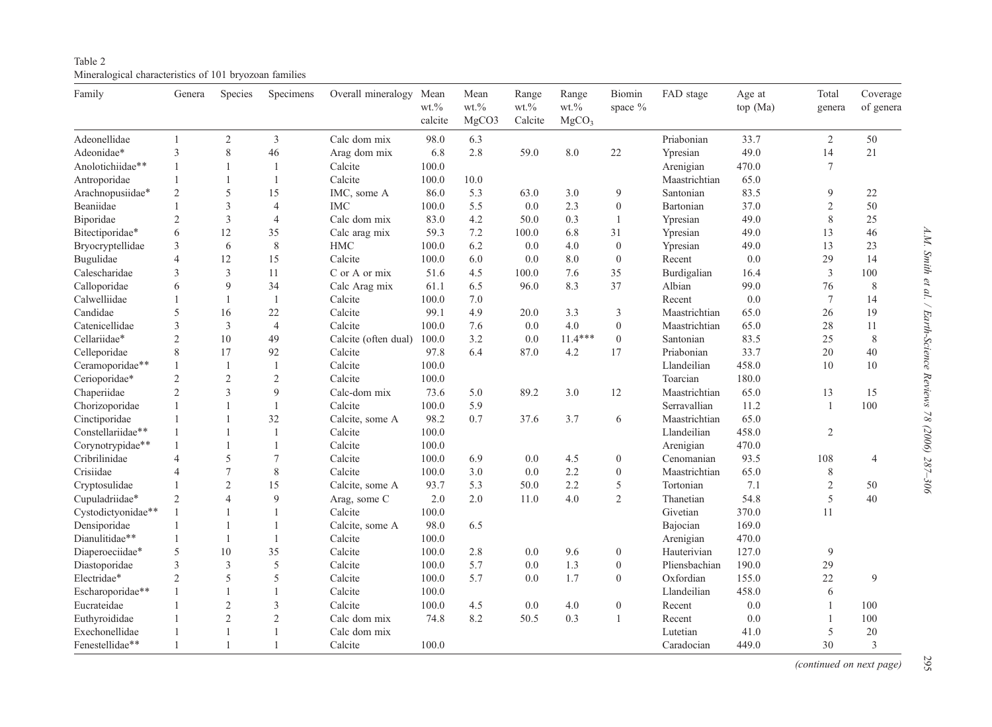| Family             | Genera         | Species        | Specimens      | Overall mineralogy   | Mean<br>$wt. \%$<br>calcite | Mean<br>$wt. \%$<br>MgCO3 | Range<br>$wt. \%$<br>Calcite | Range<br>$wt. \%$<br>MgCO <sub>3</sub> | Biomin<br>space % | FAD stage     | Age at<br>top (Ma) | Total<br>genera | Coverage<br>of genera |
|--------------------|----------------|----------------|----------------|----------------------|-----------------------------|---------------------------|------------------------------|----------------------------------------|-------------------|---------------|--------------------|-----------------|-----------------------|
| Adeonellidae       | $\mathbf{1}$   | $\overline{c}$ | $\mathfrak{Z}$ | Calc dom mix         | 98.0                        | 6.3                       |                              |                                        |                   | Priabonian    | 33.7               | $\overline{c}$  | 50                    |
| Adeonidae*         | 3              | 8              | 46             | Arag dom mix         | 6.8                         | $2.8\,$                   | 59.0                         | 8.0                                    | 22                | Ypresian      | 49.0               | 14              | 21                    |
| Anolotichiidae**   | $\mathbf{1}$   |                | $\mathbf{1}$   | Calcite              | 100.0                       |                           |                              |                                        |                   | Arenigian     | 470.0              | 7               |                       |
| Antroporidae       | 1              | $\mathbf{1}$   | $\mathbf{1}$   | Calcite              | 100.0                       | 10.0                      |                              |                                        |                   | Maastrichtian | 65.0               |                 |                       |
| Arachnopusiidae*   | $\overline{2}$ | 5              | 15             | IMC, some A          | 86.0                        | 5.3                       | 63.0                         | 3.0                                    | 9                 | Santonian     | 83.5               | 9               | 22                    |
| Beaniidae          | $\mathbf{1}$   | 3              | $\overline{4}$ | <b>IMC</b>           | 100.0                       | 5.5                       | 0.0                          | 2.3                                    | $\mathbf{0}$      | Bartonian     | 37.0               | $\overline{c}$  | 50                    |
| Biporidae          | $\overline{2}$ | 3              | $\overline{4}$ | Calc dom mix         | 83.0                        | 4.2                       | 50.0                         | 0.3                                    | $\mathbf{1}$      | Ypresian      | 49.0               | 8               | 25                    |
| Bitectiporidae*    | 6              | 12             | 35             | Calc arag mix        | 59.3                        | 7.2                       | 100.0                        | 6.8                                    | 31                | Ypresian      | 49.0               | 13              | 46                    |
| Bryocryptellidae   | 3              | 6              | 8              | <b>HMC</b>           | 100.0                       | 6.2                       | 0.0                          | 4.0                                    | $\mathbf{0}$      | Ypresian      | 49.0               | 13              | 23                    |
| Bugulidae          | $\overline{4}$ | 12             | 15             | Calcite              | 100.0                       | 6.0                       | 0.0                          | 8.0                                    | $\mathbf{0}$      | Recent        | 0.0                | 29              | 14                    |
| Calescharidae      | 3              | 3              | 11             | C or A or mix        | 51.6                        | 4.5                       | 100.0                        | 7.6                                    | 35                | Burdigalian   | 16.4               | 3               | 100                   |
| Calloporidae       | 6              | $\mathbf Q$    | 34             | Calc Arag mix        | 61.1                        | 6.5                       | 96.0                         | 8.3                                    | 37                | Albian        | 99.0               | 76              | 8                     |
| Calwelliidae       | $\mathbf{1}$   | $\mathbf{1}$   | $\mathbf{1}$   | Calcite              | 100.0                       | 7.0                       |                              |                                        |                   | Recent        | 0.0                | $\overline{7}$  | 14                    |
| Candidae           | 5              | 16             | 22             | Calcite              | 99.1                        | 4.9                       | 20.0                         | 3.3                                    | 3                 | Maastrichtian | 65.0               | 26              | 19                    |
| Catenicellidae     | 3              | $\overline{3}$ | $\overline{4}$ | Calcite              | 100.0                       | 7.6                       | 0.0                          | 4.0                                    | $\mathbf{0}$      | Maastrichtian | 65.0               | 28              | 11                    |
| Cellariidae*       | $\overline{2}$ | 10             | 49             | Calcite (often dual) | 100.0                       | 3.2                       | 0.0                          | $11.4***$                              | $\mathbf{0}$      | Santonian     | 83.5               | 25              | 8                     |
| Celleporidae       | 8              | 17             | 92             | Calcite              | 97.8                        | 6.4                       | 87.0                         | 4.2                                    | 17                | Priabonian    | 33.7               | 20              | 40                    |
| Ceramoporidae**    | 1              | $\overline{1}$ | $\mathbf{1}$   | Calcite              | 100.0                       |                           |                              |                                        |                   | Llandeilian   | 458.0              | 10              | 10                    |
| Cerioporidae*      | $\overline{2}$ | $\overline{2}$ | $\overline{2}$ | Calcite              | 100.0                       |                           |                              |                                        |                   | Toarcian      | 180.0              |                 |                       |
| Chaperiidae        | $\overline{2}$ | 3              | 9              | Calc-dom mix         | 73.6                        | 5.0                       | 89.2                         | 3.0                                    | 12                | Maastrichtian | 65.0               | 13              | 15                    |
| Chorizoporidae     | 1              |                | 1              | Calcite              | 100.0                       | 5.9                       |                              |                                        |                   | Serravallian  | 11.2               | 1               | 100                   |
| Cinctiporidae      | 1              | $\mathbf{1}$   | 32             | Calcite, some A      | 98.2                        | 0.7                       | 37.6                         | 3.7                                    | 6                 | Maastrichtian | 65.0               |                 |                       |
| Constellariidae**  | 1              |                | $\mathbf{1}$   | Calcite              | 100.0                       |                           |                              |                                        |                   | Llandeilian   | 458.0              | $\overline{c}$  |                       |
| Corynotrypidae**   | $\mathbf{1}$   | $\mathbf{1}$   | $\mathbf{1}$   | Calcite              | 100.0                       |                           |                              |                                        |                   | Arenigian     | 470.0              |                 |                       |
| Cribrilinidae      | $\overline{4}$ | 5              | $\tau$         | Calcite              | 100.0                       | 6.9                       | 0.0                          | 4.5                                    | $\overline{0}$    | Cenomanian    | 93.5               | 108             | 4                     |
| Crisiidae          | $\overline{4}$ | $\overline{7}$ | $\,$ 8 $\,$    | Calcite              | 100.0                       | 3.0                       | 0.0                          | 2.2                                    | $\mathbf{0}$      | Maastrichtian | 65.0               | 8               |                       |
| Cryptosulidae      | $\mathbf{1}$   | $\overline{2}$ | 15             | Calcite, some A      | 93.7                        | 5.3                       | 50.0                         | 2.2                                    | 5                 | Tortonian     | 7.1                | $\overline{c}$  | 50                    |
| Cupuladriidae*     | $\sqrt{2}$     | $\overline{4}$ | 9              | Arag, some C         | 2.0                         | 2.0                       | 11.0                         | 4.0                                    | 2                 | Thanetian     | 54.8               | 5               | 40                    |
| Cystodictyonidae** | $\mathbf{1}$   | $\mathbf{1}$   | $\mathbf{1}$   | Calcite              | 100.0                       |                           |                              |                                        |                   | Givetian      | 370.0              | 11              |                       |
| Densiporidae       | 1              | $\mathbf{1}$   | $\mathbf{1}$   | Calcite, some A      | 98.0                        | 6.5                       |                              |                                        |                   | Bajocian      | 169.0              |                 |                       |
| Dianulitidae**     | 1              | $\overline{1}$ | $\mathbf{1}$   | Calcite              | 100.0                       |                           |                              |                                        |                   | Arenigian     | 470.0              |                 |                       |
| Diaperoeciidae*    | 5              | 10             | 35             | Calcite              | 100.0                       | 2.8                       | 0.0                          | 9.6                                    | $\boldsymbol{0}$  | Hauterivian   | 127.0              | 9               |                       |
| Diastoporidae      | 3              | 3              | 5              | Calcite              | 100.0                       | 5.7                       | 0.0                          | 1.3                                    | $\mathbf{0}$      | Pliensbachian | 190.0              | 29              |                       |
| Electridae*        | $\overline{2}$ | 5              | 5              | Calcite              | 100.0                       | 5.7                       | 0.0                          | 1.7                                    | $\overline{0}$    | Oxfordian     | 155.0              | 22              | 9                     |
| Escharoporidae**   | $\mathbf{1}$   | $\mathbf{1}$   | $\mathbf{1}$   | Calcite              | 100.0                       |                           |                              |                                        |                   | Llandeilian   | 458.0              | 6               |                       |
| Eucrateidae        | $\mathbf{1}$   | $\overline{c}$ | 3              | Calcite              | 100.0                       | 4.5                       | 0.0                          | 4.0                                    | $\mathbf{0}$      | Recent        | 0.0                | 1               | 100                   |
| Euthyroididae      | $\mathbf{1}$   | $\overline{2}$ | $\overline{2}$ | Calc dom mix         | 74.8                        | 8.2                       | 50.5                         | 0.3                                    | $\mathbf{1}$      | Recent        | 0.0                | 1               | 100                   |
| Exechonellidae     |                |                | $\mathbf{1}$   | Calc dom mix         |                             |                           |                              |                                        |                   | Lutetian      | 41.0               | 5               | 20                    |
| Fenestellidae**    | $\overline{1}$ | $\mathbf{1}$   | $\overline{1}$ | Calcite              | 100.0                       |                           |                              |                                        |                   | Caradocian    | 449.0              | 30              | 3                     |

<span id="page-8-0"></span>Table 2 Mineralogical characteristics of 101 bryozoan families

295 (continued on next page)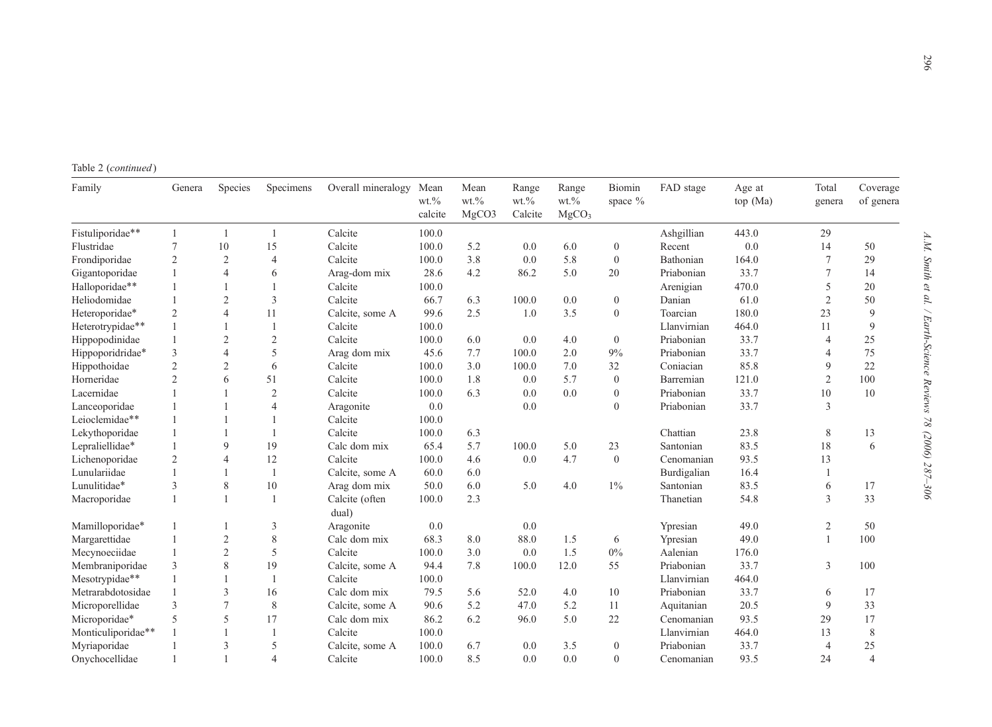Table 2 (continued)

| Family             | Genera         | Species        | Specimens      | Overall mineralogy      | Mean<br>$wt. \%$<br>calcite | Mean<br>$wt. \%$<br>MgCO3 | Range<br>$wt$ <sup>0</sup> / <sub>0</sub><br>Calcite | Range<br>$wt. \%$<br>MgCO <sub>3</sub> | Biomin<br>space % | FAD stage   | Age at<br>top (Ma) | Total<br>genera | Coverage<br>of genera |
|--------------------|----------------|----------------|----------------|-------------------------|-----------------------------|---------------------------|------------------------------------------------------|----------------------------------------|-------------------|-------------|--------------------|-----------------|-----------------------|
| Fistuliporidae**   | 1              | $\mathbf{1}$   | 1              | Calcite                 | 100.0                       |                           |                                                      |                                        |                   | Ashgillian  | 443.0              | 29              |                       |
| Flustridae         | 7              | 10             | 15             | Calcite                 | 100.0                       | 5.2                       | 0.0                                                  | 6.0                                    | $\mathbf{0}$      | Recent      | 0.0                | 14              | 50                    |
| Frondiporidae      | $\overline{2}$ | $\overline{2}$ | $\overline{4}$ | Calcite                 | 100.0                       | 3.8                       | 0.0                                                  | 5.8                                    | $\mathbf{0}$      | Bathonian   | 164.0              |                 | 29                    |
| Gigantoporidae     |                | $\overline{4}$ | 6              | Arag-dom mix            | 28.6                        | 4.2                       | 86.2                                                 | 5.0                                    | 20                | Priabonian  | 33.7               |                 | 14                    |
| Halloporidae**     |                |                | 1              | Calcite                 | 100.0                       |                           |                                                      |                                        |                   | Arenigian   | 470.0              | 5               | 20                    |
| Heliodomidae       |                | $\overline{2}$ | 3              | Calcite                 | 66.7                        | 6.3                       | 100.0                                                | 0.0                                    | $\boldsymbol{0}$  | Danian      | 61.0               | $\overline{2}$  | 50                    |
| Heteroporidae*     | $\overline{2}$ | $\overline{4}$ | 11             | Calcite, some A         | 99.6                        | 2.5                       | 1.0                                                  | 3.5                                    | $\overline{0}$    | Toarcian    | 180.0              | 23              | 9                     |
| Heterotrypidae**   | 1              |                | $\mathbf{1}$   | Calcite                 | 100.0                       |                           |                                                      |                                        |                   | Llanvirnian | 464.0              | 11              | 9                     |
| Hippopodinidae     | $\mathbf{1}$   | $\overline{2}$ | $\overline{2}$ | Calcite                 | 100.0                       | 6.0                       | 0.0                                                  | 4.0                                    | $\mathbf{0}$      | Priabonian  | 33.7               | $\overline{4}$  | 25                    |
| Hippoporidridae*   | 3              | $\overline{4}$ | 5              | Arag dom mix            | 45.6                        | 7.7                       | 100.0                                                | 2.0                                    | 9%                | Priabonian  | 33.7               | $\overline{4}$  | 75                    |
| Hippothoidae       | $\mathfrak{2}$ | $\overline{2}$ | 6              | Calcite                 | 100.0                       | 3.0                       | 100.0                                                | 7.0                                    | 32                | Coniacian   | 85.8               | 9               | 22                    |
| Horneridae         | $\overline{2}$ | 6              | 51             | Calcite                 | 100.0                       | 1.8                       | 0.0                                                  | 5.7                                    | $\mathbf{0}$      | Barremian   | 121.0              | $\overline{c}$  | 100                   |
| Lacernidae         |                |                | $\sqrt{2}$     | Calcite                 | 100.0                       | 6.3                       | 0.0                                                  | 0.0                                    | $\mathbf{0}$      | Priabonian  | 33.7               | 10              | 10                    |
| Lanceoporidae      |                |                | $\overline{4}$ | Aragonite               | 0.0                         |                           | 0.0                                                  |                                        | $\overline{0}$    | Priabonian  | 33.7               | 3               |                       |
| Leioclemidae**     |                |                | 1              | Calcite                 | 100.0                       |                           |                                                      |                                        |                   |             |                    |                 |                       |
| Lekythoporidae     |                |                | $\mathbf{1}$   | Calcite                 | 100.0                       | 6.3                       |                                                      |                                        |                   | Chattian    | 23.8               | 8               | 13                    |
| Lepraliellidae*    |                | 9              | 19             | Calc dom mix            | 65.4                        | 5.7                       | 100.0                                                | 5.0                                    | 23                | Santonian   | 83.5               | 18              | 6                     |
| Lichenoporidae     | $\overline{2}$ | $\overline{4}$ | 12             | Calcite                 | 100.0                       | 4.6                       | 0.0                                                  | 4.7                                    | $\theta$          | Cenomanian  | 93.5               | 13              |                       |
| Lunulariidae       |                | 1              | $\mathbf{1}$   | Calcite, some A         | 60.0                        | 6.0                       |                                                      |                                        |                   | Burdigalian | 16.4               |                 |                       |
| Lunulitidae*       | 3              | 8              | 10             | Arag dom mix            | 50.0                        | 6.0                       | 5.0                                                  | 4.0                                    | $1\%$             | Santonian   | 83.5               | 6               | 17                    |
| Macroporidae       | $\mathbf{1}$   | $\overline{1}$ | $\mathbf{1}$   | Calcite (often<br>dual) | 100.0                       | 2.3                       |                                                      |                                        |                   | Thanetian   | 54.8               | 3               | 33                    |
| Mamilloporidae*    | $\mathbf{1}$   |                | 3              | Aragonite               | 0.0                         |                           | 0.0                                                  |                                        |                   | Ypresian    | 49.0               | 2               | 50                    |
| Margarettidae      | 1              | $\overline{2}$ | 8              | Calc dom mix            | 68.3                        | 8.0                       | 88.0                                                 | 1.5                                    | 6                 | Ypresian    | 49.0               |                 | 100                   |
| Mecynoeciidae      | $\mathbf{1}$   | $\overline{2}$ | 5              | Calcite                 | 100.0                       | 3.0                       | 0.0                                                  | 1.5                                    | $0\%$             | Aalenian    | 176.0              |                 |                       |
| Membraniporidae    | 3              | 8              | 19             | Calcite, some A         | 94.4                        | 7.8                       | 100.0                                                | 12.0                                   | 55                | Priabonian  | 33.7               | 3               | 100                   |
| Mesotrypidae**     |                |                | 1              | Calcite                 | 100.0                       |                           |                                                      |                                        |                   | Llanvirnian | 464.0              |                 |                       |
| Metrarabdotosidae  | $\mathbf{1}$   | 3              | 16             | Calc dom mix            | 79.5                        | 5.6                       | 52.0                                                 | 4.0                                    | 10                | Priabonian  | 33.7               | 6               | 17                    |
| Microporellidae    | 3              | $\overline{7}$ | 8              | Calcite, some A         | 90.6                        | 5.2                       | 47.0                                                 | 5.2                                    | 11                | Aquitanian  | 20.5               | 9               | 33                    |
| Microporidae*      | 5              | 5              | 17             | Calc dom mix            | 86.2                        | 6.2                       | 96.0                                                 | 5.0                                    | 22                | Cenomanian  | 93.5               | 29              | 17                    |
| Monticuliporidae** | 1              | $\overline{1}$ | 1              | Calcite                 | 100.0                       |                           |                                                      |                                        |                   | Llanvirnian | 464.0              | 13              | 8                     |
| Myriaporidae       |                | 3              | 5              | Calcite, some A         | 100.0                       | 6.7                       | 0.0                                                  | 3.5                                    | $\mathbf{0}$      | Priabonian  | 33.7               | $\overline{4}$  | 25                    |
| Onychocellidae     | 1              | $\overline{1}$ | $\overline{4}$ | Calcite                 | 100.0                       | 8.5                       | 0.0                                                  | 0.0                                    | $\theta$          | Cenomanian  | 93.5               | 24              | $\overline{4}$        |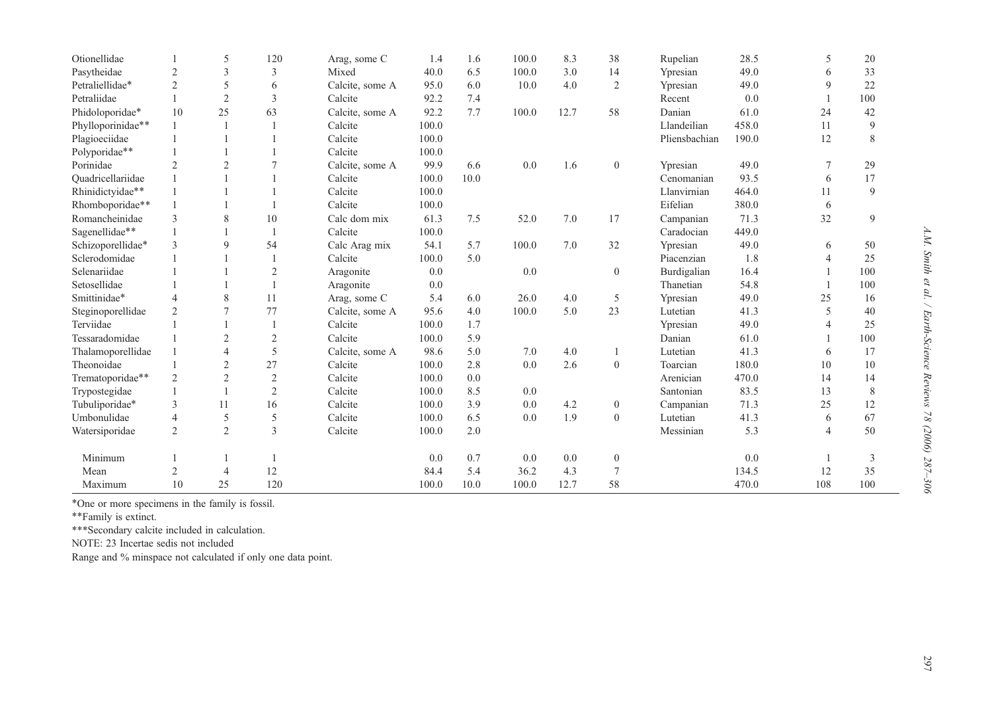| Otionellidae      |                | 5              | 120            | Arag, some C    | 1.4   | 1.6  | 100.0 | 8.3  | 38               | Rupelian      | 28.5  | 5              | 20  |
|-------------------|----------------|----------------|----------------|-----------------|-------|------|-------|------|------------------|---------------|-------|----------------|-----|
| Pasytheidae       | $\overline{c}$ | 3              | 3              | Mixed           | 40.0  | 6.5  | 100.0 | 3.0  | 14               | Ypresian      | 49.0  | 6              | 33  |
| Petraliellidae*   | $\overline{2}$ | 5              | 6              | Calcite, some A | 95.0  | 6.0  | 10.0  | 4.0  | $\overline{2}$   | Ypresian      | 49.0  | 9              | 22  |
| Petraliidae       |                | $\overline{2}$ | 3              | Calcite         | 92.2  | 7.4  |       |      |                  | Recent        | 0.0   |                | 100 |
| Phidoloporidae*   | 10             | 25             | 63             | Calcite, some A | 92.2  | 7.7  | 100.0 | 12.7 | 58               | Danian        | 61.0  | 24             | 42  |
| Phylloporinidae** |                |                |                | Calcite         | 100.0 |      |       |      |                  | Llandeilian   | 458.0 | 11             | 9   |
| Plagioeciidae     |                |                |                | Calcite         | 100.0 |      |       |      |                  | Pliensbachian | 190.0 | 12             | 8   |
| Polyporidae**     |                |                |                | Calcite         | 100.0 |      |       |      |                  |               |       |                |     |
| Porinidae         | $\overline{c}$ | $\overline{2}$ | 7              | Calcite, some A | 99.9  | 6.6  | 0.0   | 1.6  | $\overline{0}$   | Ypresian      | 49.0  | 7              | 29  |
| Ouadricellariidae |                |                |                | Calcite         | 100.0 | 10.0 |       |      |                  | Cenomanian    | 93.5  | 6              | 17  |
| Rhinidictyidae**  |                |                |                | Calcite         | 100.0 |      |       |      |                  | Llanvirnian   | 464.0 | 11             | 9   |
| Rhomboporidae**   |                |                |                | Calcite         | 100.0 |      |       |      |                  | Eifelian      | 380.0 | 6              |     |
| Romancheinidae    | 3              | 8              | 10             | Calc dom mix    | 61.3  | 7.5  | 52.0  | 7.0  | 17               | Campanian     | 71.3  | 32             | 9   |
| Sagenellidae**    |                |                | $\overline{1}$ | Calcite         | 100.0 |      |       |      |                  | Caradocian    | 449.0 |                |     |
| Schizoporellidae* | 3              | 9              | 54             | Calc Arag mix   | 54.1  | 5.7  | 100.0 | 7.0  | 32               | Ypresian      | 49.0  | 6              | 50  |
| Sclerodomidae     |                |                | $\mathbf{1}$   | Calcite         | 100.0 | 5.0  |       |      |                  | Piacenzian    | 1.8   | $\overline{4}$ | 25  |
| Selenariidae      |                |                | $\overline{c}$ | Aragonite       | 0.0   |      | 0.0   |      | $\mathbf{0}$     | Burdigalian   | 16.4  |                | 100 |
| Setosellidae      |                |                | $\mathbf{1}$   | Aragonite       | 0.0   |      |       |      |                  | Thanetian     | 54.8  |                | 100 |
| Smittinidae*      | $\overline{4}$ | 8              | 11             | Arag, some C    | 5.4   | 6.0  | 26.0  | 4.0  | 5                | Ypresian      | 49.0  | 25             | 16  |
| Steginoporellidae | $\overline{2}$ | 7              | 77             | Calcite, some A | 95.6  | 4.0  | 100.0 | 5.0  | 23               | Lutetian      | 41.3  | 5              | 40  |
| Terviidae         |                |                | -1             | Calcite         | 100.0 | 1.7  |       |      |                  | Ypresian      | 49.0  | $\overline{4}$ | 25  |
| Tessaradomidae    |                | $\mathfrak{2}$ | $\overline{c}$ | Calcite         | 100.0 | 5.9  |       |      |                  | Danian        | 61.0  |                | 100 |
| Thalamoporellidae |                | $\overline{4}$ | 5              | Calcite, some A | 98.6  | 5.0  | 7.0   | 4.0  |                  | Lutetian      | 41.3  | 6              | 17  |
| Theonoidae        |                | $\overline{2}$ | 27             | Calcite         | 100.0 | 2.8  | 0.0   | 2.6  | $\theta$         | Toarcian      | 180.0 | 10             | 10  |
| Trematoporidae**  | $\overline{2}$ | $\overline{2}$ | $\mathfrak{2}$ | Calcite         | 100.0 | 0.0  |       |      |                  | Arenician     | 470.0 | 14             | 14  |
| Trypostegidae     |                |                | $\overline{c}$ | Calcite         | 100.0 | 8.5  | 0.0   |      |                  | Santonian     | 83.5  | 13             | 8   |
| Tubuliporidae*    | 3              | 11             | 16             | Calcite         | 100.0 | 3.9  | 0.0   | 4.2  | $\boldsymbol{0}$ | Campanian     | 71.3  | 25             | 12  |
| Umbonulidae       | $\overline{4}$ | 5              | 5              | Calcite         | 100.0 | 6.5  | 0.0   | 1.9  | $\theta$         | Lutetian      | 41.3  | 6              | 67  |
| Watersiporidae    | $\overline{2}$ | $\overline{2}$ | 3              | Calcite         | 100.0 | 2.0  |       |      |                  | Messinian     | 5.3   | $\overline{4}$ | 50  |
| Minimum           |                |                |                |                 | 0.0   | 0.7  | 0.0   | 0.0  | $\boldsymbol{0}$ |               | 0.0   |                | 3   |
| Mean              | $\overline{2}$ | $\overline{4}$ | 12             |                 | 84.4  | 5.4  | 36.2  | 4.3  | $\overline{7}$   |               | 134.5 | 12             | 35  |
| Maximum           | 10             | 25             | 120            |                 | 100.0 | 10.0 | 100.0 | 12.7 | 58               |               | 470.0 | 108            | 100 |

⁎One or more specimens in the family is fossil.

⁎⁎Family is extinct.

⁎⁎⁎Secondary calcite included in calculation.

NOTE: 23 Incertae sedis not included

Range and % minspace not calculated if only one data point.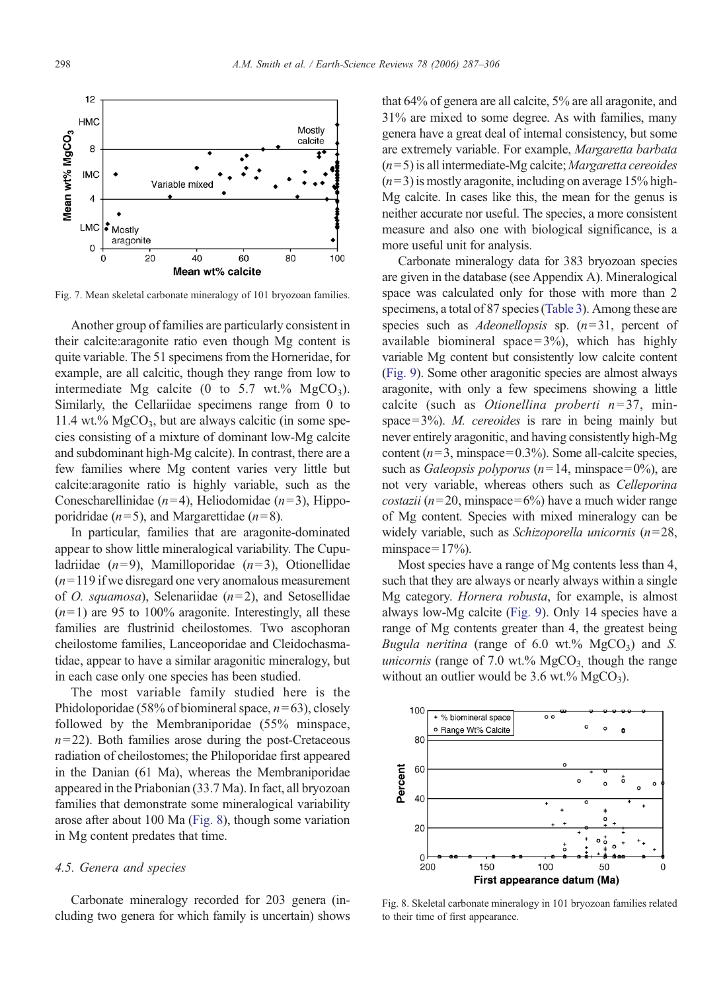<span id="page-11-0"></span>

Fig. 7. Mean skeletal carbonate mineralogy of 101 bryozoan families.

Another group of families are particularly consistent in their calcite:aragonite ratio even though Mg content is quite variable. The 51 specimens from the Horneridae, for example, are all calcitic, though they range from low to intermediate Mg calcite (0 to 5.7 wt.%  $MgCO<sub>3</sub>$ ). Similarly, the Cellariidae specimens range from 0 to 11.4 wt.%  $MgCO<sub>3</sub>$ , but are always calcitic (in some species consisting of a mixture of dominant low-Mg calcite and subdominant high-Mg calcite). In contrast, there are a few families where Mg content varies very little but calcite:aragonite ratio is highly variable, such as the Conescharellinidae ( $n=4$ ), Heliodomidae ( $n=3$ ), Hippoporidridae ( $n=5$ ), and Margarettidae ( $n=8$ ).

In particular, families that are aragonite-dominated appear to show little mineralogical variability. The Cupuladriidae  $(n=9)$ , Mamilloporidae  $(n=3)$ , Otionellidae  $(n= 119$  if we disregard one very anomalous measurement of O. squamosa), Selenariidae  $(n=2)$ , and Setosellidae  $(n=1)$  are 95 to 100% aragonite. Interestingly, all these families are flustrinid cheilostomes. Two ascophoran cheilostome families, Lanceoporidae and Cleidochasmatidae, appear to have a similar aragonitic mineralogy, but in each case only one species has been studied.

The most variable family studied here is the Phidoloporidae (58% of biomineral space,  $n=63$ ), closely followed by the Membraniporidae (55% minspace,  $n= 22$ ). Both families arose during the post-Cretaceous radiation of cheilostomes; the Philoporidae first appeared in the Danian (61 Ma), whereas the Membraniporidae appeared in the Priabonian (33.7 Ma). In fact, all bryozoan families that demonstrate some mineralogical variability arose after about 100 Ma (Fig. 8), though some variation in Mg content predates that time.

# 4.5. Genera and species

Carbonate mineralogy recorded for 203 genera (including two genera for which family is uncertain) shows

that 64% of genera are all calcite, 5% are all aragonite, and 31% are mixed to some degree. As with families, many genera have a great deal of internal consistency, but some are extremely variable. For example, Margaretta barbata  $(n=5)$  is all intermediate-Mg calcite; Margaretta cereoides  $(n=3)$  is mostly aragonite, including on average 15% high-Mg calcite. In cases like this, the mean for the genus is neither accurate nor useful. The species, a more consistent measure and also one with biological significance, is a more useful unit for analysis.

Carbonate mineralogy data for 383 bryozoan species are given in the database (see Appendix A). Mineralogical space was calculated only for those with more than 2 specimens, a total of 87 species [\(Table 3](#page-12-0)). Among these are species such as *Adeonellopsis* sp.  $(n=31,$  percent of available biomineral space= $3\%$ ), which has highly variable Mg content but consistently low calcite content [\(Fig. 9](#page-14-0)). Some other aragonitic species are almost always aragonite, with only a few specimens showing a little calcite (such as *Otionellina proberti*  $n=37$ , minspace= $3\%$ ). *M. cereoides* is rare in being mainly but never entirely aragonitic, and having consistently high-Mg content ( $n=3$ , minspace= $0.3\%$ ). Some all-calcite species, such as Galeopsis polyporus ( $n=14$ , minspace=0%), are not very variable, whereas others such as Celleporina costazii ( $n=20$ , minspace= $6\%$ ) have a much wider range of Mg content. Species with mixed mineralogy can be widely variable, such as Schizoporella unicornis  $(n=28,$ minspace= $17\%$ ).

Most species have a range of Mg contents less than 4, such that they are always or nearly always within a single Mg category. Hornera robusta, for example, is almost always low-Mg calcite [\(Fig. 9\)](#page-14-0). Only 14 species have a range of Mg contents greater than 4, the greatest being *Bugula neritina* (range of 6.0 wt.%  $MgCO<sub>3</sub>$ ) and S. unicornis (range of 7.0 wt.%  $MgCO<sub>3</sub>$ , though the range without an outlier would be 3.6 wt.%  $MgCO<sub>3</sub>$ ).



Fig. 8. Skeletal carbonate mineralogy in 101 bryozoan families related to their time of first appearance.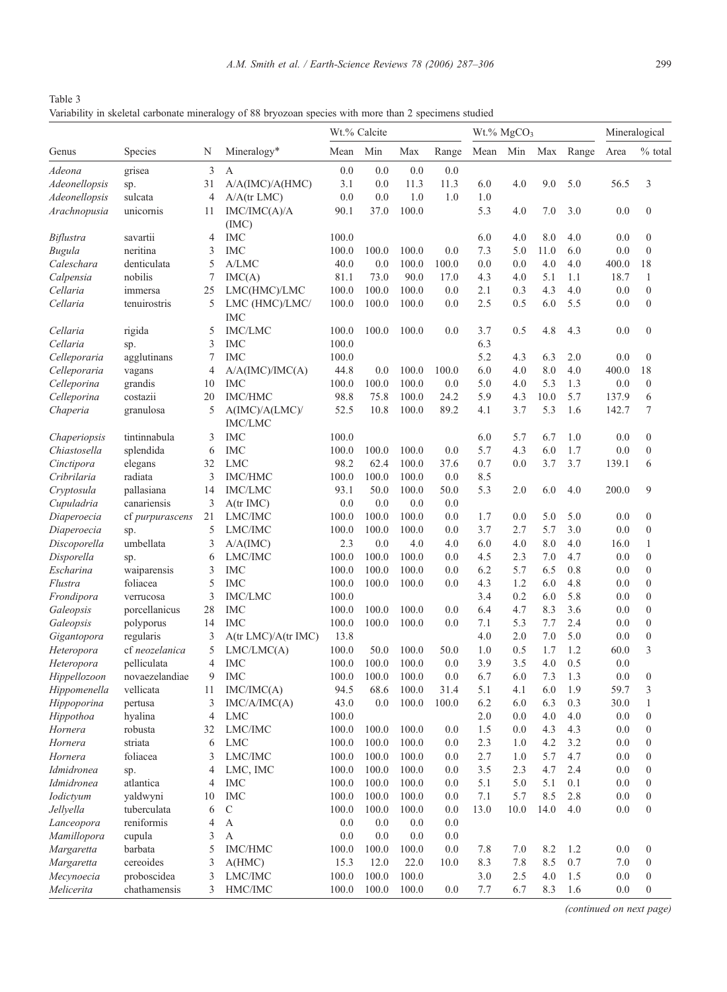<span id="page-12-0"></span>

| Table 3                                                                                                |  |
|--------------------------------------------------------------------------------------------------------|--|
| Variability in skeletal carbonate mineralogy of 88 bryozoan species with more than 2 specimens studied |  |

|                      |                        |    |                                 | Wt.% Calcite |       |       | Wt.% MgCO <sub>3</sub> |      |         |      | Mineralogical |         |                  |
|----------------------|------------------------|----|---------------------------------|--------------|-------|-------|------------------------|------|---------|------|---------------|---------|------------------|
| Genus                | <b>Species</b>         | N  | Mineralogy*                     | Mean         | Min   | Max   | Range                  | Mean | Min     | Max  | Range         | Area    | % total          |
| Adeona               | grisea                 | 3  | A                               | 0.0          | 0.0   | 0.0   | 0.0                    |      |         |      |               |         |                  |
| Adeonellopsis        | sp.                    | 31 | A/A(IMC)/A(HMC)                 | 3.1          | 0.0   | 11.3  | 11.3                   | 6.0  | 4.0     | 9.0  | 5.0           | 56.5    | 3                |
| Adeonellopsis        | sulcata                | 4  | $A/A$ (tr LMC)                  | 0.0          | 0.0   | 1.0   | 1.0                    | 1.0  |         |      |               |         |                  |
| Arachnopusia         | unicornis              | 11 | IMC/IMC(A)/A                    | 90.1         | 37.0  | 100.0 |                        | 5.3  | 4.0     | 7.0  | 3.0           | 0.0     | $\boldsymbol{0}$ |
|                      | savartii               | 4  | (MC)<br><b>IMC</b>              | 100.0        |       |       |                        | 6.0  | 4.0     | 8.0  | 4.0           | 0.0     | $\boldsymbol{0}$ |
| Biflustra            | neritina               | 3  | IMC                             | 100.0        | 100.0 | 100.0 | 0.0                    | 7.3  | 5.0     | 11.0 | 6.0           | 0.0     | $\boldsymbol{0}$ |
| Bugula<br>Caleschara | denticulata            | 5  | A/LMC                           | 40.0         | 0.0   | 100.0 | 100.0                  | 0.0  | 0.0     | 4.0  | 4.0           | 400.0   | 18               |
| Calpensia            | nobilis                | 7  | IMC(A)                          | 81.1         | 73.0  | 90.0  | 17.0                   | 4.3  | 4.0     | 5.1  | 1.1           | 18.7    | $\mathbf{1}$     |
| Cellaria             | immersa                | 25 | LMC(HMC)/LMC                    | 100.0        | 100.0 | 100.0 | 0.0                    | 2.1  | 0.3     | 4.3  | 4.0           | 0.0     | $\boldsymbol{0}$ |
| Cellaria             | tenuirostris           | 5  | LMC (HMC)/LMC/                  | 100.0        | 100.0 | 100.0 | 0.0                    | 2.5  | 0.5     | 6.0  | 5.5           | 0.0     | $\boldsymbol{0}$ |
|                      |                        |    | <b>IMC</b>                      |              |       |       |                        |      |         |      |               |         |                  |
| Cellaria             | rigida                 | 5  | <b>IMC/LMC</b>                  | 100.0        | 100.0 | 100.0 | 0.0                    | 3.7  | 0.5     | 4.8  | 4.3           | 0.0     | $\boldsymbol{0}$ |
| Cellaria             | sp.                    | 3  | IMC                             | 100.0        |       |       |                        | 6.3  |         |      |               |         |                  |
| Celleporaria         | agglutinans            | 7  | IMC                             | 100.0        |       |       |                        | 5.2  | 4.3     | 6.3  | 2.0           | 0.0     | $\boldsymbol{0}$ |
| Celleporaria         | vagans                 | 4  | A/A(IMC)/IMC(A)                 | 44.8         | 0.0   | 100.0 | 100.0                  | 6.0  | 4.0     | 8.0  | 4.0           | 400.0   | 18               |
| Celleporina          | grandis                | 10 | <b>IMC</b>                      | 100.0        | 100.0 | 100.0 | 0.0                    | 5.0  | 4.0     | 5.3  | 1.3           | 0.0     | $\boldsymbol{0}$ |
| Celleporina          | costazii               | 20 | <b>IMC/HMC</b>                  | 98.8         | 75.8  | 100.0 | 24.2                   | 5.9  | 4.3     | 10.0 | 5.7           | 137.9   | 6                |
| Chaperia             | granulosa              | 5  | A(IMC)/A(LMC)<br><b>IMC/LMC</b> | 52.5         | 10.8  | 100.0 | 89.2                   | 4.1  | 3.7     | 5.3  | 1.6           | 142.7   | 7                |
| Chaperiopsis         | tintinnabula           | 3  | IMC                             | 100.0        |       |       |                        | 6.0  | 5.7     | 6.7  | 1.0           | 0.0     | $\boldsymbol{0}$ |
| Chiastosella         | splendida              | 6  | <b>IMC</b>                      | 100.0        | 100.0 | 100.0 | 0.0                    | 5.7  | 4.3     | 6.0  | 1.7           | 0.0     | $\boldsymbol{0}$ |
| Cinctipora           | elegans                | 32 | <b>LMC</b>                      | 98.2         | 62.4  | 100.0 | 37.6                   | 0.7  | 0.0     | 3.7  | 3.7           | 139.1   | 6                |
| Cribrilaria          | radiata                | 3  | <b>IMC/HMC</b>                  | 100.0        | 100.0 | 100.0 | 0.0                    | 8.5  |         |      |               |         |                  |
| Cryptosula           | pallasiana             | 14 | <b>IMC/LMC</b>                  | 93.1         | 50.0  | 100.0 | 50.0                   | 5.3  | 2.0     | 6.0  | 4.0           | 200.0   | 9                |
| Cupuladria           | canariensis            | 3  | $A(tr$ IMC)                     | 0.0          | 0.0   | 0.0   | 0.0                    |      |         |      |               |         |                  |
| Diaperoecia          | cf <i>purpurascens</i> | 21 | LMC/IMC                         | 100.0        | 100.0 | 100.0 | 0.0                    | 1.7  | 0.0     | 5.0  | 5.0           | 0.0     | $\boldsymbol{0}$ |
| Diaperoecia          | sp.                    | 5  | LMC/IMC                         | 100.0        | 100.0 | 100.0 | 0.0                    | 3.7  | 2.7     | 5.7  | 3.0           | 0.0     | $\boldsymbol{0}$ |
| Discoporella         | umbellata              | 3  | A/A(IMC)                        | 2.3          | 0.0   | 4.0   | 4.0                    | 6.0  | 4.0     | 8.0  | 4.0           | 16.0    | 1                |
| Disporella           | sp.                    | 6  | LMC/IMC                         | 100.0        | 100.0 | 100.0 | 0.0                    | 4.5  | 2.3     | 7.0  | 4.7           | 0.0     | $\boldsymbol{0}$ |
| Escharina            | waiparensis            | 3  | <b>IMC</b>                      | 100.0        | 100.0 | 100.0 | 0.0                    | 6.2  | 5.7     | 6.5  | 0.8           | 0.0     | $\mathbf{0}$     |
| Flustra              | foliacea               | 5  | <b>IMC</b>                      | 100.0        | 100.0 | 100.0 | 0.0                    | 4.3  | 1.2     | 6.0  | 4.8           | 0.0     | $\mathbf{0}$     |
| Frondipora           | verrucosa              | 3  | <b>IMC/LMC</b>                  | 100.0        |       |       |                        | 3.4  | 0.2     | 6.0  | 5.8           | 0.0     | $\boldsymbol{0}$ |
| Galeopsis            | porcellanicus          | 28 | <b>IMC</b>                      | 100.0        | 100.0 | 100.0 | 0.0                    | 6.4  | 4.7     | 8.3  | 3.6           | 0.0     | $\mathbf{0}$     |
| Galeopsis            | polyporus              | 14 | <b>IMC</b>                      | 100.0        | 100.0 | 100.0 | 0.0                    | 7.1  | 5.3     | 7.7  | 2.4           | 0.0     | $\boldsymbol{0}$ |
| Gigantopora          | regularis              | 3  | $A(tr$ LMC $)/A(tr$ IMC $)$     | 13.8         |       |       |                        | 4.0  | 2.0     | 7.0  | 5.0           | 0.0     | $\boldsymbol{0}$ |
| Heteropora           | cf neozelanica         | 5  | LMC/LMC(A)                      | 100.0        | 50.0  | 100.0 | 50.0                   | 1.0  | 0.5     | 1.7  | 1.2           | 60.0    | 3                |
| Heteropora           | pelliculata            | 4  | IMC                             | 100.0        | 100.0 | 100.0 | 0.0                    | 3.9  | 3.5     | 4.0  | 0.5           | 0.0     |                  |
| Hippellozoon         | novaezelandiae         | 9  | <b>IMC</b>                      | 100.0        | 100.0 | 100.0 | 0.0                    | 6.7  | 6.0     | 7.3  | 1.3           | 0.0     | $\boldsymbol{0}$ |
| Hippomenella         | vellicata              | 11 | IMC/IMC(A)                      | 94.5         | 68.6  | 100.0 | 31.4                   | 5.1  | 4.1     | 6.0  | 1.9           | 59.7    | 3                |
| Hippoporina          | pertusa                | 3  | IMC/A/IMC(A)                    | 43.0         | 0.0   | 100.0 | 100.0                  | 6.2  | 6.0     | 6.3  | 0.3           | 30.0    | $\mathbf{1}$     |
| Hippothoa            | hyalina                | 4  | LMC                             | 100.0        |       |       |                        | 2.0  | $0.0\,$ | 4.0  | 4.0           | $0.0\,$ | $\Omega$         |
| Hornera              | robusta                | 32 | LMC/IMC                         | 100.0        | 100.0 | 100.0 | 0.0                    | 1.5  | 0.0     | 4.3  | 4.3           | 0.0     | $\boldsymbol{0}$ |
| Hornera              | striata                | 6  | <b>LMC</b>                      | 100.0        | 100.0 | 100.0 | 0.0                    | 2.3  | 1.0     | 4.2  | 3.2           | 0.0     | $\boldsymbol{0}$ |
| Hornera              | foliacea               | 3  | LMC/IMC                         | 100.0        | 100.0 | 100.0 | 0.0                    | 2.7  | 1.0     | 5.7  | 4.7           | 0.0     | $\boldsymbol{0}$ |
| Idmidronea           | sp.                    | 4  | LMC, IMC                        | 100.0        | 100.0 | 100.0 | 0.0                    | 3.5  | 2.3     | 4.7  | 2.4           | 0.0     | $\boldsymbol{0}$ |
| Idmidronea           | atlantica              | 4  | IMC                             | 100.0        | 100.0 | 100.0 | 0.0                    | 5.1  | 5.0     | 5.1  | 0.1           | 0.0     | $\boldsymbol{0}$ |
| Iodictyum            | yaldwyni               | 10 | <b>IMC</b>                      | 100.0        | 100.0 | 100.0 | 0.0                    | 7.1  | 5.7     | 8.5  | 2.8           | 0.0     | $\boldsymbol{0}$ |
| Jellyella            | tuberculata            | 6  | C                               | 100.0        | 100.0 | 100.0 | 0.0                    | 13.0 | 10.0    | 14.0 | 4.0           | 0.0     | $\boldsymbol{0}$ |
| Lanceopora           | reniformis             | 4  | А                               | 0.0          | 0.0   | 0.0   | 0.0                    |      |         |      |               |         |                  |
| Mamillopora          | cupula                 | 3  | А                               | 0.0          | 0.0   | 0.0   | 0.0                    |      |         |      |               |         |                  |
| Margaretta           | barbata                | 5  | IMC/HMC                         | 100.0        | 100.0 | 100.0 | 0.0                    | 7.8  | 7.0     | 8.2  | 1.2           | 0.0     | $\boldsymbol{0}$ |
| Margaretta           | cereoides              | 3  | A(HMC)                          | 15.3         | 12.0  | 22.0  | 10.0                   | 8.3  | 7.8     | 8.5  | 0.7           | 7.0     | $\boldsymbol{0}$ |
| Mecynoecia           | proboscidea            | 3  | LMC/IMC                         | 100.0        | 100.0 | 100.0 |                        | 3.0  | 2.5     | 4.0  | 1.5           | 0.0     | $\boldsymbol{0}$ |
| Melicerita           | chathamensis           | 3  | HMC/IMC                         | 100.0        | 100.0 | 100.0 | 0.0                    | 7.7  | 6.7     | 8.3  | 1.6           | 0.0     | $\boldsymbol{0}$ |

(continued on next page)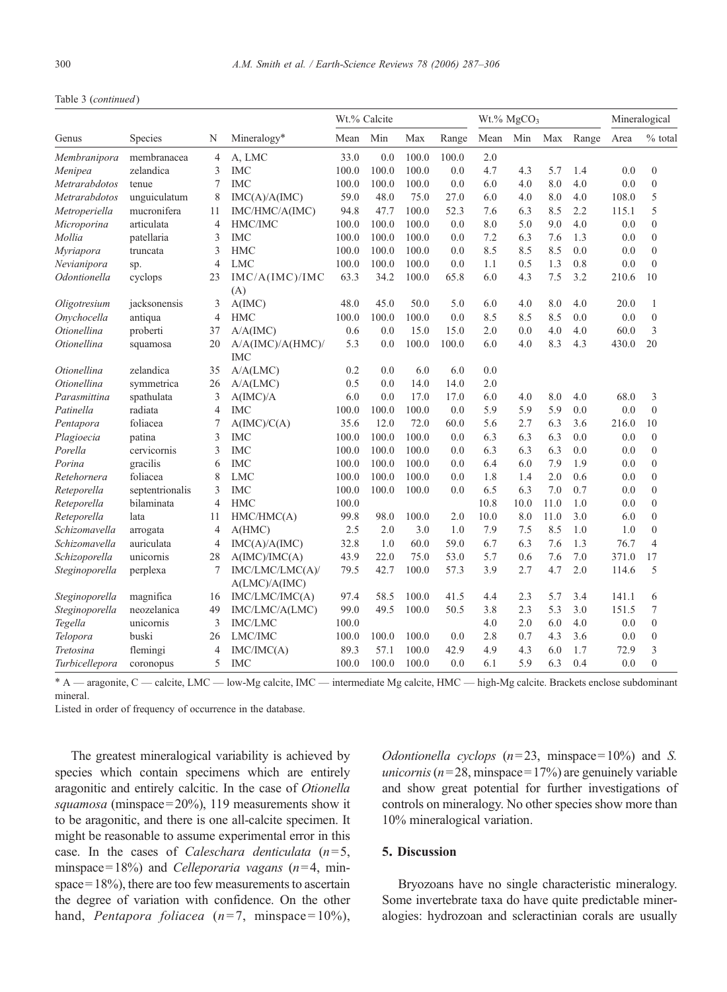### Table 3 (continued)

|                      |                 |                |                                  | Wt.% Calcite |       | $Wt.\%$ MgCO <sub>3</sub> |       |      |      | Mineralogical |       |       |                  |
|----------------------|-----------------|----------------|----------------------------------|--------------|-------|---------------------------|-------|------|------|---------------|-------|-------|------------------|
| Genus                | Species         | N              | Mineralogy*                      | Mean         | Min   | Max                       | Range | Mean | Min  | Max           | Range | Area  | $%$ total        |
| Membranipora         | membranacea     | 4              | A, LMC                           | 33.0         | 0.0   | 100.0                     | 100.0 | 2.0  |      |               |       |       |                  |
| Menipea              | zelandica       | 3              | IMC                              | 100.0        | 100.0 | 100.0                     | 0.0   | 4.7  | 4.3  | 5.7           | 1.4   | 0.0   | $\boldsymbol{0}$ |
| <b>Metrarabdotos</b> | tenue           | 7              | <b>IMC</b>                       | 100.0        | 100.0 | 100.0                     | 0.0   | 6.0  | 4.0  | 8.0           | 4.0   | 0.0   | $\mathbf{0}$     |
| Metrarabdotos        | unguiculatum    | 8              | IMC(A)/A(IMC)                    | 59.0         | 48.0  | 75.0                      | 27.0  | 6.0  | 4.0  | 8.0           | 4.0   | 108.0 | 5                |
| Metroperiella        | mucronifera     | 11             | IMC/HMC/A(IMC)                   | 94.8         | 47.7  | 100.0                     | 52.3  | 7.6  | 6.3  | 8.5           | 2.2   | 115.1 | 5                |
| Microporina          | articulata      | $\overline{4}$ | HMC/IMC                          | 100.0        | 100.0 | 100.0                     | 0.0   | 8.0  | 5.0  | 9.0           | 4.0   | 0.0   | $\overline{0}$   |
| Mollia               | patellaria      | 3              | <b>IMC</b>                       | 100.0        | 100.0 | 100.0                     | 0.0   | 7.2  | 6.3  | 7.6           | 1.3   | 0.0   | $\boldsymbol{0}$ |
| Myriapora            | truncata        | 3              | <b>HMC</b>                       | 100.0        | 100.0 | 100.0                     | 0.0   | 8.5  | 8.5  | 8.5           | 0.0   | 0.0   | $\mathbf{0}$     |
| Nevianipora          | sp.             | $\overline{4}$ | <b>LMC</b>                       | 100.0        | 100.0 | 100.0                     | 0.0   | 1.1  | 0.5  | 1.3           | 0.8   | 0.0   | $\boldsymbol{0}$ |
| Odontionella         | cyclops         | 23             | IMC/A(IMC)/IMC<br>(A)            | 63.3         | 34.2  | 100.0                     | 65.8  | 6.0  | 4.3  | 7.5           | 3.2   | 210.6 | 10               |
| Oligotresium         | jacksonensis    | 3              | A(IMC)                           | 48.0         | 45.0  | 50.0                      | 5.0   | 6.0  | 4.0  | 8.0           | 4.0   | 20.0  | $\mathbf{1}$     |
| Onychocella          | antiqua         | $\overline{4}$ | <b>HMC</b>                       | 100.0        | 100.0 | 100.0                     | 0.0   | 8.5  | 8.5  | 8.5           | 0.0   | 0.0   | $\boldsymbol{0}$ |
| <i>Otionellina</i>   | proberti        | 37             | A/A(IMC)                         | 0.6          | 0.0   | 15.0                      | 15.0  | 2.0  | 0.0  | 4.0           | 4.0   | 60.0  | 3                |
| Otionellina          | squamosa        | 20             | A/A(IMC)/A(HMC)<br>IMC           | 5.3          | 0.0   | 100.0                     | 100.0 | 6.0  | 4.0  | 8.3           | 4.3   | 430.0 | 20               |
| Otionellina          | zelandica       | 35             | A/A(LMC)                         | 0.2          | 0.0   | 6.0                       | 6.0   | 0.0  |      |               |       |       |                  |
| <i>Otionellina</i>   | symmetrica      | 26             | A/A(LMC)                         | 0.5          | 0.0   | 14.0                      | 14.0  | 2.0  |      |               |       |       |                  |
| Parasmittina         | spathulata      | 3              | A(IMC)/A                         | 6.0          | 0.0   | 17.0                      | 17.0  | 6.0  | 4.0  | 8.0           | 4.0   | 68.0  | 3                |
| Patinella            | radiata         | $\overline{4}$ | IMC                              | 100.0        | 100.0 | 100.0                     | 0.0   | 5.9  | 5.9  | 5.9           | 0.0   | 0.0   | $\mathbf{0}$     |
| Pentapora            | foliacea        | $\overline{7}$ | A(IMC)/C(A)                      | 35.6         | 12.0  | 72.0                      | 60.0  | 5.6  | 2.7  | 6.3           | 3.6   | 216.0 | 10               |
| Plagioecia           | patina          | 3              | <b>IMC</b>                       | 100.0        | 100.0 | 100.0                     | 0.0   | 6.3  | 6.3  | 6.3           | 0.0   | 0.0   | $\boldsymbol{0}$ |
| Porella              | cervicornis     | 3              | IMC                              | 100.0        | 100.0 | 100.0                     | 0.0   | 6.3  | 6.3  | 6.3           | 0.0   | 0.0   | $\mathbf{0}$     |
| Porina               | gracilis        | 6              | IMC                              | 100.0        | 100.0 | 100.0                     | 0.0   | 6.4  | 6.0  | 7.9           | 1.9   | 0.0   | $\boldsymbol{0}$ |
| Retehornera          | foliacea        | 8              | <b>LMC</b>                       | 100.0        | 100.0 | 100.0                     | 0.0   | 1.8  | 1.4  | 2.0           | 0.6   | 0.0   | $\boldsymbol{0}$ |
| Reteporella          | septentrionalis | 3              | <b>IMC</b>                       | 100.0        | 100.0 | 100.0                     | 0.0   | 6.5  | 6.3  | 7.0           | 0.7   | 0.0   | $\boldsymbol{0}$ |
| Reteporella          | bilaminata      | $\overline{4}$ | <b>HMC</b>                       | 100.0        |       |                           |       | 10.8 | 10.0 | 11.0          | 1.0   | 0.0   | $\overline{0}$   |
| Reteporella          | lata            | 11             | HMC/HMC(A)                       | 99.8         | 98.0  | 100.0                     | 2.0   | 10.0 | 8.0  | 11.0          | 3.0   | 6.0   | $\overline{0}$   |
| Schizomavella        | arrogata        | $\overline{4}$ | A(HMC)                           | 2.5          | 2.0   | 3.0                       | 1.0   | 7.9  | 7.5  | 8.5           | 1.0   | 1.0   | $\mathbf{0}$     |
| Schizomavella        | auriculata      | $\overline{4}$ | IMC(A)/A(IMC)                    | 32.8         | 1.0   | 60.0                      | 59.0  | 6.7  | 6.3  | 7.6           | 1.3   | 76.7  | $\overline{4}$   |
| Schizoporella        | unicornis       | 28             | A(IMC)/IMC(A)                    | 43.9         | 22.0  | 75.0                      | 53.0  | 5.7  | 0.6  | 7.6           | 7.0   | 371.0 | 17               |
| Steginoporella       | perplexa        | 7              | IMC/LMC/LMC(A)/<br>A(LMC)/A(IMC) | 79.5         | 42.7  | 100.0                     | 57.3  | 3.9  | 2.7  | 4.7           | 2.0   | 114.6 | 5                |
| Steginoporella       | magnifica       | 16             | IMC/LMC/IMC(A)                   | 97.4         | 58.5  | 100.0                     | 41.5  | 4.4  | 2.3  | 5.7           | 3.4   | 141.1 | 6                |
| Steginoporella       | neozelanica     | 49             | IMC/LMC/A(LMC)                   | 99.0         | 49.5  | 100.0                     | 50.5  | 3.8  | 2.3  | 5.3           | 3.0   | 151.5 | 7                |
| Tegella              | unicornis       | 3              | IMC/LMC                          | 100.0        |       |                           |       | 4.0  | 2.0  | 6.0           | 4.0   | 0.0   | $\mathbf{0}$     |
| Telopora             | buski           | 26             | LMC/IMC                          | 100.0        | 100.0 | 100.0                     | 0.0   | 2.8  | 0.7  | 4.3           | 3.6   | 0.0   | $\boldsymbol{0}$ |
| Tretosina            | flemingi        | $\overline{4}$ | IMC/IMC(A)                       | 89.3         | 57.1  | 100.0                     | 42.9  | 4.9  | 4.3  | 6.0           | 1.7   | 72.9  | 3                |
| Turbicellepora       | coronopus       | 5              | IMC                              | 100.0        | 100.0 | 100.0                     | 0.0   | 6.1  | 5.9  | 6.3           | 0.4   | 0.0   | $\theta$         |

⁎ A — aragonite, C — calcite, LMC — low-Mg calcite, IMC — intermediate Mg calcite, HMC — high-Mg calcite. Brackets enclose subdominant mineral.

Listed in order of frequency of occurrence in the database.

The greatest mineralogical variability is achieved by species which contain specimens which are entirely aragonitic and entirely calcitic. In the case of Otionella squamosa (minspace=20%), 119 measurements show it to be aragonitic, and there is one all-calcite specimen. It might be reasonable to assume experimental error in this case. In the cases of *Caleschara denticulata*  $(n=5,$ minspace= $18\%$ ) and *Celleporaria vagans* ( $n=4$ , min $space = 18\%$ , there are too few measurements to ascertain the degree of variation with confidence. On the other hand, *Pentapora foliacea*  $(n=7, \text{minspace}=10\%)$ ,

*Odontionella cyclops*  $(n=23, \text{minspace}=10\%)$  and *S*. unicornis ( $n = 28$ , minspace = 17%) are genuinely variable and show great potential for further investigations of controls on mineralogy. No other species show more than 10% mineralogical variation.

# 5. Discussion

Bryozoans have no single characteristic mineralogy. Some invertebrate taxa do have quite predictable mineralogies: hydrozoan and scleractinian corals are usually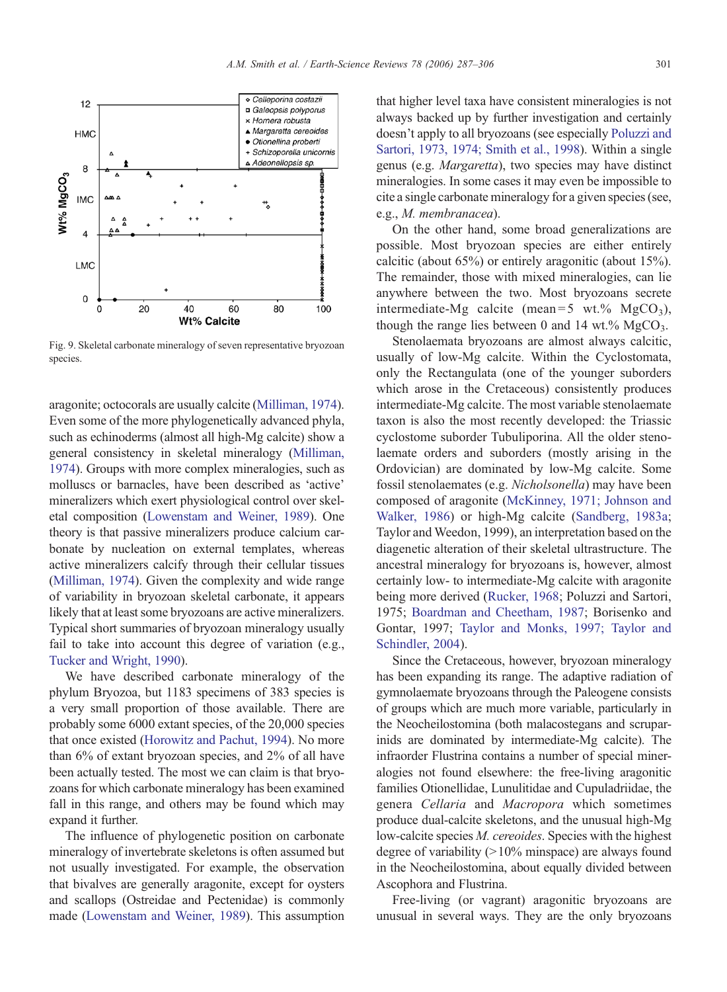<span id="page-14-0"></span>

Fig. 9. Skeletal carbonate mineralogy of seven representative bryozoan species.

aragonite; octocorals are usually calcite [\(Milliman, 1974](#page-18-0)). Even some of the more phylogenetically advanced phyla, such as echinoderms (almost all high-Mg calcite) show a general consistency in skeletal mineralogy ([Milliman,](#page-18-0) [1974](#page-18-0)). Groups with more complex mineralogies, such as molluscs or barnacles, have been described as 'active' mineralizers which exert physiological control over skeletal composition [\(Lowenstam and Weiner, 1989\)](#page-18-0). One theory is that passive mineralizers produce calcium carbonate by nucleation on external templates, whereas active mineralizers calcify through their cellular tissues [\(Milliman, 1974\)](#page-18-0). Given the complexity and wide range of variability in bryozoan skeletal carbonate, it appears likely that at least some bryozoans are active mineralizers. Typical short summaries of bryozoan mineralogy usually fail to take into account this degree of variation (e.g., [Tucker and Wright, 1990](#page-19-0)).

We have described carbonate mineralogy of the phylum Bryozoa, but 1183 specimens of 383 species is a very small proportion of those available. There are probably some 6000 extant species, of the 20,000 species that once existed [\(Horowitz and Pachut, 1994](#page-17-0)). No more than 6% of extant bryozoan species, and 2% of all have been actually tested. The most we can claim is that bryozoans for which carbonate mineralogy has been examined fall in this range, and others may be found which may expand it further.

The influence of phylogenetic position on carbonate mineralogy of invertebrate skeletons is often assumed but not usually investigated. For example, the observation that bivalves are generally aragonite, except for oysters and scallops (Ostreidae and Pectenidae) is commonly made ([Lowenstam and Weiner, 1989\)](#page-18-0). This assumption

that higher level taxa have consistent mineralogies is not always backed up by further investigation and certainly doesn't apply to all bryozoans (see especially [Poluzzi and](#page-18-0) [Sartori, 1973, 1974; Smith et al., 1998](#page-18-0)). Within a single genus (e.g. Margaretta), two species may have distinct mineralogies. In some cases it may even be impossible to cite a single carbonate mineralogy for a given species (see, e.g., M. membranacea).

On the other hand, some broad generalizations are possible. Most bryozoan species are either entirely calcitic (about 65%) or entirely aragonitic (about 15%). The remainder, those with mixed mineralogies, can lie anywhere between the two. Most bryozoans secrete intermediate-Mg calcite (mean=5 wt.%  $MgCO<sub>3</sub>$ ), though the range lies between 0 and 14 wt.%  $MgCO<sub>3</sub>$ .

Stenolaemata bryozoans are almost always calcitic, usually of low-Mg calcite. Within the Cyclostomata, only the Rectangulata (one of the younger suborders which arose in the Cretaceous) consistently produces intermediate-Mg calcite. The most variable stenolaemate taxon is also the most recently developed: the Triassic cyclostome suborder Tubuliporina. All the older stenolaemate orders and suborders (mostly arising in the Ordovician) are dominated by low-Mg calcite. Some fossil stenolaemates (e.g. Nicholsonella) may have been composed of aragonite ([McKinney, 1971; Johnson and](#page-18-0) [Walker, 1986](#page-18-0)) or high-Mg calcite [\(Sandberg, 1983a](#page-18-0); Taylor and Weedon, 1999), an interpretation based on the diagenetic alteration of their skeletal ultrastructure. The ancestral mineralogy for bryozoans is, however, almost certainly low- to intermediate-Mg calcite with aragonite being more derived [\(Rucker, 1968;](#page-18-0) Poluzzi and Sartori, 1975; [Boardman and Cheetham, 1987;](#page-17-0) Borisenko and Gontar, 1997; [Taylor and Monks, 1997; Taylor and](#page-19-0) [Schindler, 2004\)](#page-19-0).

Since the Cretaceous, however, bryozoan mineralogy has been expanding its range. The adaptive radiation of gymnolaemate bryozoans through the Paleogene consists of groups which are much more variable, particularly in the Neocheilostomina (both malacostegans and scruparinids are dominated by intermediate-Mg calcite). The infraorder Flustrina contains a number of special mineralogies not found elsewhere: the free-living aragonitic families Otionellidae, Lunulitidae and Cupuladriidae, the genera Cellaria and Macropora which sometimes produce dual-calcite skeletons, and the unusual high-Mg low-calcite species *M. cereoides*. Species with the highest degree of variability (>10% minspace) are always found in the Neocheilostomina, about equally divided between Ascophora and Flustrina.

Free-living (or vagrant) aragonitic bryozoans are unusual in several ways. They are the only bryozoans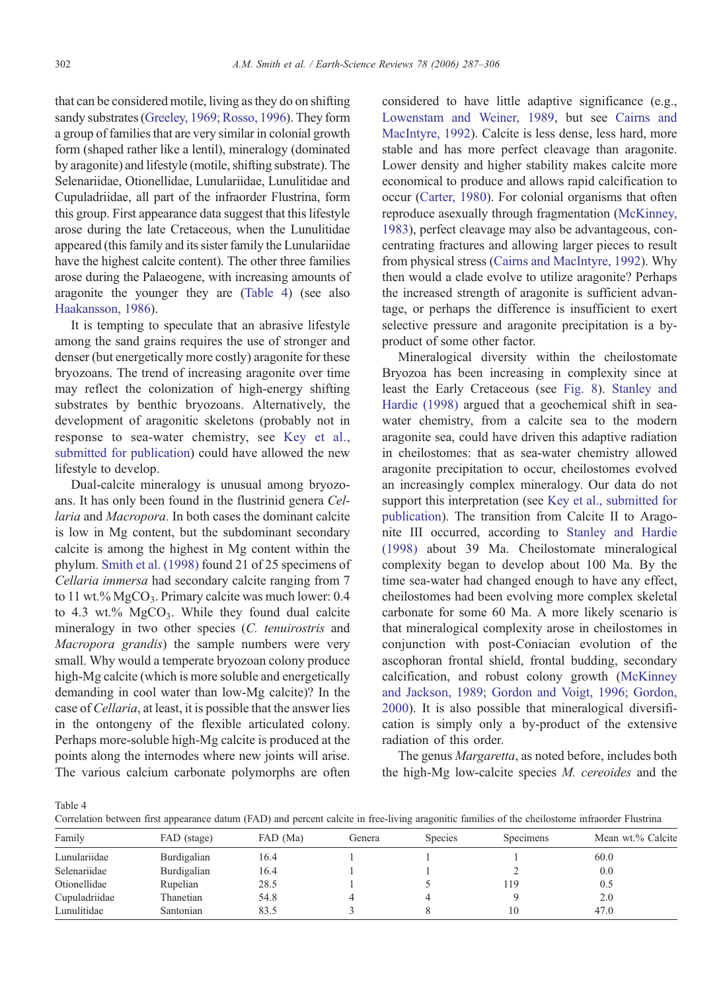that can be considered motile, living as they do on shifting sandy substrates ([Greeley, 1969; Rosso, 1996](#page-17-0)). They form a group of families that are very similar in colonial growth form (shaped rather like a lentil), mineralogy (dominated by aragonite) and lifestyle (motile, shifting substrate). The Selenariidae, Otionellidae, Lunulariidae, Lunulitidae and Cupuladriidae, all part of the infraorder Flustrina, form this group. First appearance data suggest that this lifestyle arose during the late Cretaceous, when the Lunulitidae appeared (this family and its sister family the Lunulariidae have the highest calcite content). The other three families arose during the Palaeogene, with increasing amounts of aragonite the younger they are (Table 4) (see also [Haakansson, 1986\)](#page-17-0).

It is tempting to speculate that an abrasive lifestyle among the sand grains requires the use of stronger and denser (but energetically more costly) aragonite for these bryozoans. The trend of increasing aragonite over time may reflect the colonization of high-energy shifting substrates by benthic bryozoans. Alternatively, the development of aragonitic skeletons (probably not in response to sea-water chemistry, see [Key et al.,](#page-17-0) [submitted for publication](#page-17-0)) could have allowed the new lifestyle to develop.

Dual-calcite mineralogy is unusual among bryozoans. It has only been found in the flustrinid genera Cellaria and Macropora. In both cases the dominant calcite is low in Mg content, but the subdominant secondary calcite is among the highest in Mg content within the phylum. [Smith et al. \(1998\)](#page-18-0) found 21 of 25 specimens of Cellaria immersa had secondary calcite ranging from 7 to 11 wt.% MgCO<sub>3</sub>. Primary calcite was much lower: 0.4 to  $4.3 \text{ wt.} \% \text{ MgCO}_3$ . While they found dual calcite mineralogy in two other species (C. tenuirostris and Macropora grandis) the sample numbers were very small. Why would a temperate bryozoan colony produce high-Mg calcite (which is more soluble and energetically demanding in cool water than low-Mg calcite)? In the case of Cellaria, at least, it is possible that the answer lies in the ontongeny of the flexible articulated colony. Perhaps more-soluble high-Mg calcite is produced at the points along the internodes where new joints will arise. The various calcium carbonate polymorphs are often considered to have little adaptive significance (e.g., [Lowenstam and Weiner, 1989](#page-18-0), but see [Cairns and](#page-17-0) [MacIntyre, 1992\)](#page-17-0). Calcite is less dense, less hard, more stable and has more perfect cleavage than aragonite. Lower density and higher stability makes calcite more economical to produce and allows rapid calcification to occur ([Carter, 1980](#page-17-0)). For colonial organisms that often reproduce asexually through fragmentation [\(McKinney,](#page-18-0) [1983](#page-18-0)), perfect cleavage may also be advantageous, concentrating fractures and allowing larger pieces to result from physical stress ([Cairns and MacIntyre, 1992](#page-17-0)). Why then would a clade evolve to utilize aragonite? Perhaps the increased strength of aragonite is sufficient advantage, or perhaps the difference is insufficient to exert selective pressure and aragonite precipitation is a byproduct of some other factor.

Mineralogical diversity within the cheilostomate Bryozoa has been increasing in complexity since at least the Early Cretaceous (see [Fig. 8\)](#page-11-0). [Stanley and](#page-18-0) [Hardie \(1998\)](#page-18-0) argued that a geochemical shift in seawater chemistry, from a calcite sea to the modern aragonite sea, could have driven this adaptive radiation in cheilostomes: that as sea-water chemistry allowed aragonite precipitation to occur, cheilostomes evolved an increasingly complex mineralogy. Our data do not support this interpretation (see [Key et al., submitted for](#page-17-0) [publication\)](#page-17-0). The transition from Calcite II to Aragonite III occurred, according to [Stanley and Hardie](#page-18-0) [\(1998\)](#page-18-0) about 39 Ma. Cheilostomate mineralogical complexity began to develop about 100 Ma. By the time sea-water had changed enough to have any effect, cheilostomes had been evolving more complex skeletal carbonate for some 60 Ma. A more likely scenario is that mineralogical complexity arose in cheilostomes in conjunction with post-Coniacian evolution of the ascophoran frontal shield, frontal budding, secondary calcification, and robust colony growth ([McKinney](#page-18-0) [and Jackson, 1989; Gordon and Voigt, 1996; Gordon,](#page-18-0) [2000](#page-18-0)). It is also possible that mineralogical diversification is simply only a by-product of the extensive radiation of this order.

The genus Margaretta, as noted before, includes both the high-Mg low-calcite species M. cereoides and the

Table 4

Correlation between first appearance datum (FAD) and percent calcite in free-living aragonitic families of the cheilostome infraorder Flustrina

| Family        | FAD (stage) | FAD (Ma) | Genera | <b>Species</b> | <b>Specimens</b> | Mean wt.% Calcite |
|---------------|-------------|----------|--------|----------------|------------------|-------------------|
| Lunulariidae  | Burdigalian | 16.4     |        |                |                  | 60.0              |
| Selenariidae  | Burdigalian | 16.4     |        |                |                  | 0.0               |
| Otionellidae  | Rupelian    | 28.5     |        |                | 119              | 0.5               |
| Cupuladriidae | Thanetian   | 54.8     |        |                |                  | 2.0               |
| Lunulitidae   | Santonian   | 83.5     |        |                | 10               | 47.0              |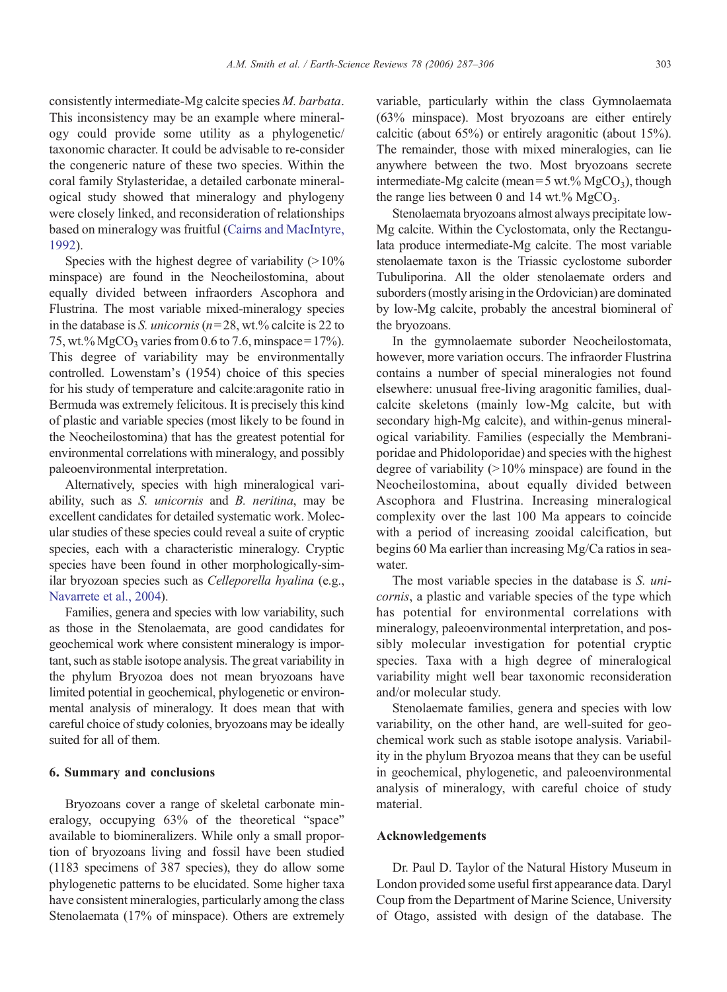consistently intermediate-Mg calcite species M. barbata. This inconsistency may be an example where mineralogy could provide some utility as a phylogenetic/ taxonomic character. It could be advisable to re-consider the congeneric nature of these two species. Within the coral family Stylasteridae, a detailed carbonate mineralogical study showed that mineralogy and phylogeny were closely linked, and reconsideration of relationships based on mineralogy was fruitful [\(Cairns and MacIntyre,](#page-17-0) [1992\)](#page-17-0).

Species with the highest degree of variability  $(>10\%)$ minspace) are found in the Neocheilostomina, about equally divided between infraorders Ascophora and Flustrina. The most variable mixed-mineralogy species in the database is S. unicornis ( $n=28$ , wt.% calcite is 22 to 75, wt.%  $MgCO<sub>3</sub>$  varies from 0.6 to 7.6, minspace= 17%). This degree of variability may be environmentally controlled. Lowenstam's (1954) choice of this species for his study of temperature and calcite:aragonite ratio in Bermuda was extremely felicitous. It is precisely this kind of plastic and variable species (most likely to be found in the Neocheilostomina) that has the greatest potential for environmental correlations with mineralogy, and possibly paleoenvironmental interpretation.

Alternatively, species with high mineralogical variability, such as S. unicornis and B. neritina, may be excellent candidates for detailed systematic work. Molecular studies of these species could reveal a suite of cryptic species, each with a characteristic mineralogy. Cryptic species have been found in other morphologically-similar bryozoan species such as Celleporella hyalina (e.g., [Navarrete et al., 2004\)](#page-18-0).

Families, genera and species with low variability, such as those in the Stenolaemata, are good candidates for geochemical work where consistent mineralogy is important, such as stable isotope analysis. The great variability in the phylum Bryozoa does not mean bryozoans have limited potential in geochemical, phylogenetic or environmental analysis of mineralogy. It does mean that with careful choice of study colonies, bryozoans may be ideally suited for all of them.

### 6. Summary and conclusions

Bryozoans cover a range of skeletal carbonate mineralogy, occupying 63% of the theoretical "space" available to biomineralizers. While only a small proportion of bryozoans living and fossil have been studied (1183 specimens of 387 species), they do allow some phylogenetic patterns to be elucidated. Some higher taxa have consistent mineralogies, particularly among the class Stenolaemata (17% of minspace). Others are extremely

variable, particularly within the class Gymnolaemata (63% minspace). Most bryozoans are either entirely calcitic (about 65%) or entirely aragonitic (about 15%). The remainder, those with mixed mineralogies, can lie anywhere between the two. Most bryozoans secrete intermediate-Mg calcite (mean=5 wt.%  $MgCO<sub>3</sub>$ ), though the range lies between 0 and 14 wt. $%$  MgCO<sub>3</sub>.

Stenolaemata bryozoans almost always precipitate low-Mg calcite. Within the Cyclostomata, only the Rectangulata produce intermediate-Mg calcite. The most variable stenolaemate taxon is the Triassic cyclostome suborder Tubuliporina. All the older stenolaemate orders and suborders (mostly arising in the Ordovician) are dominated by low-Mg calcite, probably the ancestral biomineral of the bryozoans.

In the gymnolaemate suborder Neocheilostomata, however, more variation occurs. The infraorder Flustrina contains a number of special mineralogies not found elsewhere: unusual free-living aragonitic families, dualcalcite skeletons (mainly low-Mg calcite, but with secondary high-Mg calcite), and within-genus mineralogical variability. Families (especially the Membraniporidae and Phidoloporidae) and species with the highest degree of variability  $(>10\%$  minspace) are found in the Neocheilostomina, about equally divided between Ascophora and Flustrina. Increasing mineralogical complexity over the last 100 Ma appears to coincide with a period of increasing zooidal calcification, but begins 60 Ma earlier than increasing Mg/Ca ratios in seawater.

The most variable species in the database is S. unicornis, a plastic and variable species of the type which has potential for environmental correlations with mineralogy, paleoenvironmental interpretation, and possibly molecular investigation for potential cryptic species. Taxa with a high degree of mineralogical variability might well bear taxonomic reconsideration and/or molecular study.

Stenolaemate families, genera and species with low variability, on the other hand, are well-suited for geochemical work such as stable isotope analysis. Variability in the phylum Bryozoa means that they can be useful in geochemical, phylogenetic, and paleoenvironmental analysis of mineralogy, with careful choice of study material.

# Acknowledgements

Dr. Paul D. Taylor of the Natural History Museum in London provided some useful first appearance data. Daryl Coup from the Department of Marine Science, University of Otago, assisted with design of the database. The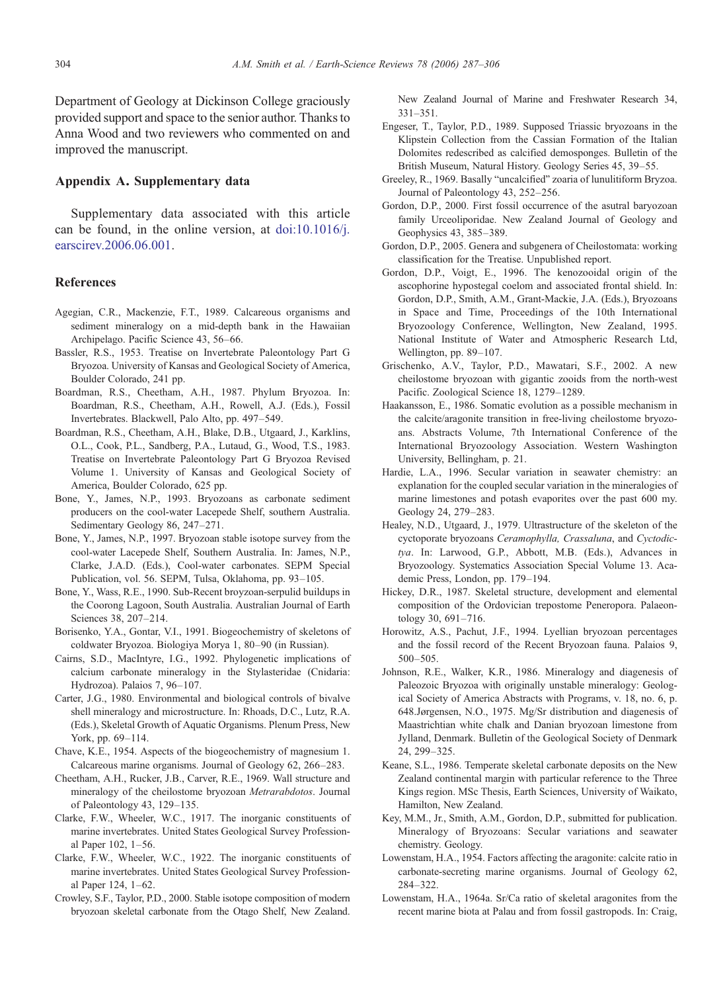<span id="page-17-0"></span>Department of Geology at Dickinson College graciously provided support and space to the senior author. Thanks to Anna Wood and two reviewers who commented on and improved the manuscript.

# Appendix A. Supplementary data

Supplementary data associated with this article can be found, in the online version, at [doi:10.1016/j.](http://dx.doi.org/doi:10.1016/j.earscirev.2006.06.001) [earscirev.2006.06.001](http://dx.doi.org/doi:10.1016/j.earscirev.2006.06.001).

# References

- Agegian, C.R., Mackenzie, F.T., 1989. Calcareous organisms and sediment mineralogy on a mid-depth bank in the Hawaiian Archipelago. Pacific Science 43, 56–66.
- Bassler, R.S., 1953. Treatise on Invertebrate Paleontology Part G Bryozoa. University of Kansas and Geological Society of America, Boulder Colorado, 241 pp.
- Boardman, R.S., Cheetham, A.H., 1987. Phylum Bryozoa. In: Boardman, R.S., Cheetham, A.H., Rowell, A.J. (Eds.), Fossil Invertebrates. Blackwell, Palo Alto, pp. 497–549.
- Boardman, R.S., Cheetham, A.H., Blake, D.B., Utgaard, J., Karklins, O.L., Cook, P.L., Sandberg, P.A., Lutaud, G., Wood, T.S., 1983. Treatise on Invertebrate Paleontology Part G Bryozoa Revised Volume 1. University of Kansas and Geological Society of America, Boulder Colorado, 625 pp.
- Bone, Y., James, N.P., 1993. Bryozoans as carbonate sediment producers on the cool-water Lacepede Shelf, southern Australia. Sedimentary Geology 86, 247–271.
- Bone, Y., James, N.P., 1997. Bryozoan stable isotope survey from the cool-water Lacepede Shelf, Southern Australia. In: James, N.P., Clarke, J.A.D. (Eds.), Cool-water carbonates. SEPM Special Publication, vol. 56. SEPM, Tulsa, Oklahoma, pp. 93–105.
- Bone, Y., Wass, R.E., 1990. Sub-Recent broyzoan-serpulid buildups in the Coorong Lagoon, South Australia. Australian Journal of Earth Sciences 38, 207–214.
- Borisenko, Y.A., Gontar, V.I., 1991. Biogeochemistry of skeletons of coldwater Bryozoa. Biologiya Morya 1, 80–90 (in Russian).
- Cairns, S.D., MacIntyre, I.G., 1992. Phylogenetic implications of calcium carbonate mineralogy in the Stylasteridae (Cnidaria: Hydrozoa). Palaios 7, 96–107.
- Carter, J.G., 1980. Environmental and biological controls of bivalve shell mineralogy and microstructure. In: Rhoads, D.C., Lutz, R.A. (Eds.), Skeletal Growth of Aquatic Organisms. Plenum Press, New York, pp. 69–114.
- Chave, K.E., 1954. Aspects of the biogeochemistry of magnesium 1. Calcareous marine organisms. Journal of Geology 62, 266–283.
- Cheetham, A.H., Rucker, J.B., Carver, R.E., 1969. Wall structure and mineralogy of the cheilostome bryozoan Metrarabdotos. Journal of Paleontology 43, 129–135.
- Clarke, F.W., Wheeler, W.C., 1917. The inorganic constituents of marine invertebrates. United States Geological Survey Professional Paper 102, 1–56.
- Clarke, F.W., Wheeler, W.C., 1922. The inorganic constituents of marine invertebrates. United States Geological Survey Professional Paper 124, 1–62.
- Crowley, S.F., Taylor, P.D., 2000. Stable isotope composition of modern bryozoan skeletal carbonate from the Otago Shelf, New Zealand.

New Zealand Journal of Marine and Freshwater Research 34, 331–351.

- Engeser, T., Taylor, P.D., 1989. Supposed Triassic bryozoans in the Klipstein Collection from the Cassian Formation of the Italian Dolomites redescribed as calcified demosponges. Bulletin of the British Museum, Natural History. Geology Series 45, 39–55.
- Greeley, R., 1969. Basally "uncalcified" zoaria of lunulitiform Bryzoa. Journal of Paleontology 43, 252–256.
- Gordon, D.P., 2000. First fossil occurrence of the asutral baryozoan family Urceoliporidae. New Zealand Journal of Geology and Geophysics 43, 385–389.
- Gordon, D.P., 2005. Genera and subgenera of Cheilostomata: working classification for the Treatise. Unpublished report.
- Gordon, D.P., Voigt, E., 1996. The kenozooidal origin of the ascophorine hypostegal coelom and associated frontal shield. In: Gordon, D.P., Smith, A.M., Grant-Mackie, J.A. (Eds.), Bryozoans in Space and Time, Proceedings of the 10th International Bryozoology Conference, Wellington, New Zealand, 1995. National Institute of Water and Atmospheric Research Ltd, Wellington, pp. 89–107.
- Grischenko, A.V., Taylor, P.D., Mawatari, S.F., 2002. A new cheilostome bryozoan with gigantic zooids from the north-west Pacific. Zoological Science 18, 1279–1289.
- Haakansson, E., 1986. Somatic evolution as a possible mechanism in the calcite/aragonite transition in free-living cheilostome bryozoans. Abstracts Volume, 7th International Conference of the International Bryozoology Association. Western Washington University, Bellingham, p. 21.
- Hardie, L.A., 1996. Secular variation in seawater chemistry: an explanation for the coupled secular variation in the mineralogies of marine limestones and potash evaporites over the past 600 my. Geology 24, 279–283.
- Healey, N.D., Utgaard, J., 1979. Ultrastructure of the skeleton of the cyctoporate bryozoans Ceramophylla, Crassaluna, and Cyctodictya. In: Larwood, G.P., Abbott, M.B. (Eds.), Advances in Bryozoology. Systematics Association Special Volume 13. Academic Press, London, pp. 179–194.
- Hickey, D.R., 1987. Skeletal structure, development and elemental composition of the Ordovician trepostome Peneropora. Palaeontology 30, 691–716.
- Horowitz, A.S., Pachut, J.F., 1994. Lyellian bryozoan percentages and the fossil record of the Recent Bryozoan fauna. Palaios 9, 500–505.
- Johnson, R.E., Walker, K.R., 1986. Mineralogy and diagenesis of Paleozoic Bryozoa with originally unstable mineralogy: Geological Society of America Abstracts with Programs, v. 18, no. 6, p. 648.Jørgensen, N.O., 1975. Mg/Sr distribution and diagenesis of Maastrichtian white chalk and Danian bryozoan limestone from Jylland, Denmark. Bulletin of the Geological Society of Denmark 24, 299–325.
- Keane, S.L., 1986. Temperate skeletal carbonate deposits on the New Zealand continental margin with particular reference to the Three Kings region. MSc Thesis, Earth Sciences, University of Waikato, Hamilton, New Zealand.
- Key, M.M., Jr., Smith, A.M., Gordon, D.P., submitted for publication. Mineralogy of Bryozoans: Secular variations and seawater chemistry. Geology.
- Lowenstam, H.A., 1954. Factors affecting the aragonite: calcite ratio in carbonate-secreting marine organisms. Journal of Geology 62, 284–322.
- Lowenstam, H.A., 1964a. Sr/Ca ratio of skeletal aragonites from the recent marine biota at Palau and from fossil gastropods. In: Craig,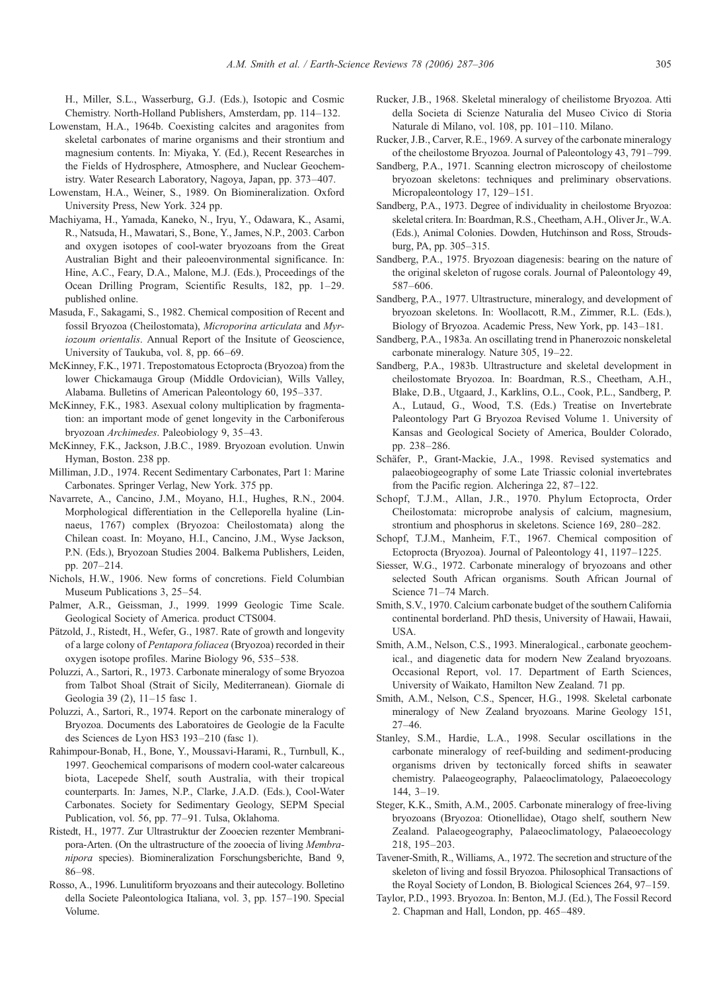<span id="page-18-0"></span>H., Miller, S.L., Wasserburg, G.J. (Eds.), Isotopic and Cosmic Chemistry. North-Holland Publishers, Amsterdam, pp. 114–132.

- Lowenstam, H.A., 1964b. Coexisting calcites and aragonites from skeletal carbonates of marine organisms and their strontium and magnesium contents. In: Miyaka, Y. (Ed.), Recent Researches in the Fields of Hydrosphere, Atmosphere, and Nuclear Geochemistry. Water Research Laboratory, Nagoya, Japan, pp. 373–407.
- Lowenstam, H.A., Weiner, S., 1989. On Biomineralization. Oxford University Press, New York. 324 pp.
- Machiyama, H., Yamada, Kaneko, N., Iryu, Y., Odawara, K., Asami, R., Natsuda, H., Mawatari, S., Bone, Y., James, N.P., 2003. Carbon and oxygen isotopes of cool-water bryozoans from the Great Australian Bight and their paleoenvironmental significance. In: Hine, A.C., Feary, D.A., Malone, M.J. (Eds.), Proceedings of the Ocean Drilling Program, Scientific Results, 182, pp. 1–29. published online.
- Masuda, F., Sakagami, S., 1982. Chemical composition of Recent and fossil Bryozoa (Cheilostomata), Microporina articulata and Myriozoum orientalis. Annual Report of the Insitute of Geoscience, University of Taukuba, vol. 8, pp. 66–69.
- McKinney, F.K., 1971. Trepostomatous Ectoprocta (Bryozoa) from the lower Chickamauga Group (Middle Ordovician), Wills Valley, Alabama. Bulletins of American Paleontology 60, 195–337.
- McKinney, F.K., 1983. Asexual colony multiplication by fragmentation: an important mode of genet longevity in the Carboniferous bryozoan Archimedes. Paleobiology 9, 35–43.
- McKinney, F.K., Jackson, J.B.C., 1989. Bryozoan evolution. Unwin Hyman, Boston. 238 pp.
- Milliman, J.D., 1974. Recent Sedimentary Carbonates, Part 1: Marine Carbonates. Springer Verlag, New York. 375 pp.
- Navarrete, A., Cancino, J.M., Moyano, H.I., Hughes, R.N., 2004. Morphological differentiation in the Celleporella hyaline (Linnaeus, 1767) complex (Bryozoa: Cheilostomata) along the Chilean coast. In: Moyano, H.I., Cancino, J.M., Wyse Jackson, P.N. (Eds.), Bryozoan Studies 2004. Balkema Publishers, Leiden, pp. 207–214.
- Nichols, H.W., 1906. New forms of concretions. Field Columbian Museum Publications 3, 25–54.
- Palmer, A.R., Geissman, J., 1999. 1999 Geologic Time Scale. Geological Society of America. product CTS004.
- Pätzold, J., Ristedt, H., Wefer, G., 1987. Rate of growth and longevity of a large colony of Pentapora foliacea (Bryozoa) recorded in their oxygen isotope profiles. Marine Biology 96, 535–538.
- Poluzzi, A., Sartori, R., 1973. Carbonate mineralogy of some Bryozoa from Talbot Shoal (Strait of Sicily, Mediterranean). Giornale di Geologia 39 (2), 11–15 fasc 1.
- Poluzzi, A., Sartori, R., 1974. Report on the carbonate mineralogy of Bryozoa. Documents des Laboratoires de Geologie de la Faculte des Sciences de Lyon HS3 193–210 (fasc 1).
- Rahimpour-Bonab, H., Bone, Y., Moussavi-Harami, R., Turnbull, K., 1997. Geochemical comparisons of modern cool-water calcareous biota, Lacepede Shelf, south Australia, with their tropical counterparts. In: James, N.P., Clarke, J.A.D. (Eds.), Cool-Water Carbonates. Society for Sedimentary Geology, SEPM Special Publication, vol. 56, pp. 77–91. Tulsa, Oklahoma.
- Ristedt, H., 1977. Zur Ultrastruktur der Zooecien rezenter Membranipora-Arten. (On the ultrastructure of the zooecia of living Membranipora species). Biomineralization Forschungsberichte, Band 9, 86–98.
- Rosso, A., 1996. Lunulitiform bryozoans and their autecology. Bolletino della Societe Paleontologica Italiana, vol. 3, pp. 157–190. Special Volume.
- Rucker, J.B., 1968. Skeletal mineralogy of cheilistome Bryozoa. Atti della Societa di Scienze Naturalia del Museo Civico di Storia Naturale di Milano, vol. 108, pp. 101–110. Milano.
- Rucker, J.B., Carver, R.E., 1969. A survey of the carbonate mineralogy of the cheilostome Bryozoa. Journal of Paleontology 43, 791–799.
- Sandberg, P.A., 1971. Scanning electron microscopy of cheilostome bryozoan skeletons: techniques and preliminary observations. Micropaleontology 17, 129–151.
- Sandberg, P.A., 1973. Degree of individuality in cheilostome Bryozoa: skeletal critera. In: Boardman, R.S., Cheetham, A.H., Oliver Jr., W.A. (Eds.), Animal Colonies. Dowden, Hutchinson and Ross, Stroudsburg, PA, pp. 305–315.
- Sandberg, P.A., 1975. Bryozoan diagenesis: bearing on the nature of the original skeleton of rugose corals. Journal of Paleontology 49, 587–606.
- Sandberg, P.A., 1977. Ultrastructure, mineralogy, and development of bryozoan skeletons. In: Woollacott, R.M., Zimmer, R.L. (Eds.), Biology of Bryozoa. Academic Press, New York, pp. 143–181.
- Sandberg, P.A., 1983a. An oscillating trend in Phanerozoic nonskeletal carbonate mineralogy. Nature 305, 19–22.
- Sandberg, P.A., 1983b. Ultrastructure and skeletal development in cheilostomate Bryozoa. In: Boardman, R.S., Cheetham, A.H., Blake, D.B., Utgaard, J., Karklins, O.L., Cook, P.L., Sandberg, P. A., Lutaud, G., Wood, T.S. (Eds.) Treatise on Invertebrate Paleontology Part G Bryozoa Revised Volume 1. University of Kansas and Geological Society of America, Boulder Colorado, pp. 238–286.
- Schäfer, P., Grant-Mackie, J.A., 1998. Revised systematics and palaeobiogeography of some Late Triassic colonial invertebrates from the Pacific region. Alcheringa 22, 87–122.
- Schopf, T.J.M., Allan, J.R., 1970. Phylum Ectoprocta, Order Cheilostomata: microprobe analysis of calcium, magnesium, strontium and phosphorus in skeletons. Science 169, 280–282.
- Schopf, T.J.M., Manheim, F.T., 1967. Chemical composition of Ectoprocta (Bryozoa). Journal of Paleontology 41, 1197–1225.
- Siesser, W.G., 1972. Carbonate mineralogy of bryozoans and other selected South African organisms. South African Journal of Science 71–74 March.
- Smith, S.V., 1970. Calcium carbonate budget of the southern California continental borderland. PhD thesis, University of Hawaii, Hawaii, **USA**
- Smith, A.M., Nelson, C.S., 1993. Mineralogical., carbonate geochemical., and diagenetic data for modern New Zealand bryozoans. Occasional Report, vol. 17. Department of Earth Sciences, University of Waikato, Hamilton New Zealand. 71 pp.
- Smith, A.M., Nelson, C.S., Spencer, H.G., 1998. Skeletal carbonate mineralogy of New Zealand bryozoans. Marine Geology 151, 27–46.
- Stanley, S.M., Hardie, L.A., 1998. Secular oscillations in the carbonate mineralogy of reef-building and sediment-producing organisms driven by tectonically forced shifts in seawater chemistry. Palaeogeography, Palaeoclimatology, Palaeoecology 144, 3–19.
- Steger, K.K., Smith, A.M., 2005. Carbonate mineralogy of free-living bryozoans (Bryozoa: Otionellidae), Otago shelf, southern New Zealand. Palaeogeography, Palaeoclimatology, Palaeoecology 218, 195–203.
- Tavener-Smith, R., Williams, A., 1972. The secretion and structure of the skeleton of living and fossil Bryozoa. Philosophical Transactions of the Royal Society of London, B. Biological Sciences 264, 97–159.
- Taylor, P.D., 1993. Bryozoa. In: Benton, M.J. (Ed.), The Fossil Record 2. Chapman and Hall, London, pp. 465–489.